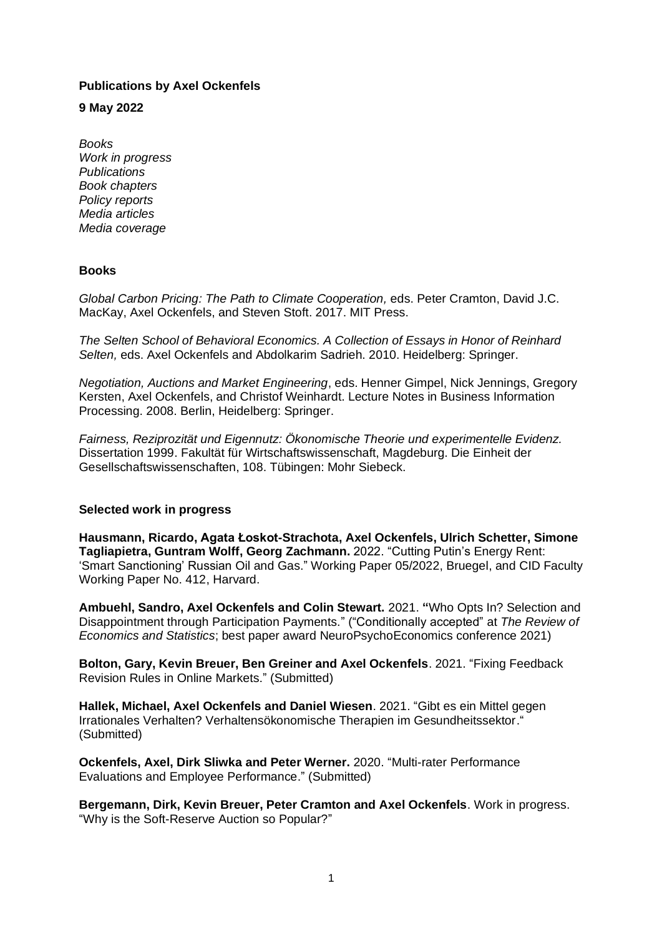# **Publications by Axel Ockenfels**

**9 May 2022**

*Books Work in progress Publications Book chapters Policy reports Media articles Media coverage* 

# **Books**

*Global Carbon Pricing: The Path to Climate Cooperation, eds. Peter Cramton, David J.C.* MacKay, Axel Ockenfels, and Steven Stoft. 2017. MIT Press.

*The Selten School of Behavioral Economics. A Collection of Essays in Honor of Reinhard Selten,* eds. Axel Ockenfels and Abdolkarim Sadrieh. 2010. Heidelberg: Springer.

*Negotiation, Auctions and Market Engineering*, eds. Henner Gimpel, Nick Jennings, Gregory Kersten, Axel Ockenfels, and Christof Weinhardt. Lecture Notes in Business Information Processing. 2008. Berlin, Heidelberg: Springer.

*Fairness, Reziprozität und Eigennutz: Ökonomische Theorie und experimentelle Evidenz.*  Dissertation 1999. Fakultät für Wirtschaftswissenschaft, Magdeburg. Die Einheit der Gesellschaftswissenschaften, 108. Tübingen: Mohr Siebeck.

# **Selected work in progress**

**Hausmann, Ricardo, Agata Łoskot-Strachota, Axel Ockenfels, Ulrich Schetter, Simone Tagliapietra, Guntram Wolff, Georg Zachmann.** 2022. "Cutting Putin's Energy Rent: 'Smart Sanctioning' Russian Oil and Gas." Working Paper 05/2022, Bruegel, and CID Faculty Working Paper No. 412, Harvard.

**Ambuehl, Sandro, Axel Ockenfels and Colin Stewart.** 2021. **"**Who Opts In? Selection and Disappointment through Participation Payments." ("Conditionally accepted" at *The Review of Economics and Statistics*; best paper award NeuroPsychoEconomics conference 2021)

**Bolton, Gary, Kevin Breuer, Ben Greiner and Axel Ockenfels**. 2021. "Fixing Feedback Revision Rules in Online Markets." (Submitted)

**Hallek, Michael, Axel Ockenfels and Daniel Wiesen**. 2021. "Gibt es ein Mittel gegen Irrationales Verhalten? Verhaltensökonomische Therapien im Gesundheitssektor." (Submitted)

**Ockenfels, Axel, Dirk Sliwka and Peter Werner.** 2020. "Multi-rater Performance Evaluations and Employee Performance." (Submitted)

**Bergemann, Dirk, Kevin Breuer, Peter Cramton and Axel Ockenfels**. Work in progress. "Why is the Soft-Reserve Auction so Popular?"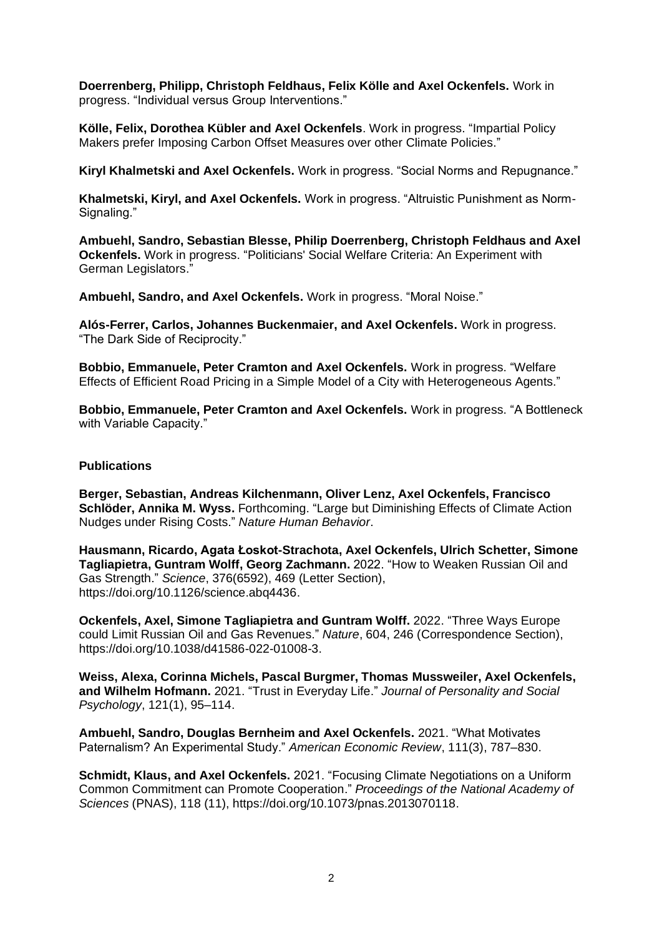**Doerrenberg, Philipp, Christoph Feldhaus, Felix Kölle and Axel Ockenfels.** Work in progress. "Individual versus Group Interventions."

**Kölle, Felix, Dorothea Kübler and Axel Ockenfels**. Work in progress. "Impartial Policy Makers prefer Imposing Carbon Offset Measures over other Climate Policies."

**Kiryl Khalmetski and Axel Ockenfels.** Work in progress. "Social Norms and Repugnance."

**Khalmetski, Kiryl, and Axel Ockenfels.** Work in progress. "Altruistic Punishment as Norm-Signaling."

**Ambuehl, Sandro, Sebastian Blesse, Philip Doerrenberg, Christoph Feldhaus and Axel Ockenfels.** Work in progress. "Politicians' Social Welfare Criteria: An Experiment with German Legislators."

**Ambuehl, Sandro, and Axel Ockenfels.** Work in progress. "Moral Noise."

**Alós-Ferrer, Carlos, Johannes Buckenmaier, and Axel Ockenfels.** Work in progress. "The Dark Side of Reciprocity."

**Bobbio, Emmanuele, Peter Cramton and Axel Ockenfels.** Work in progress. "Welfare Effects of Efficient Road Pricing in a Simple Model of a City with Heterogeneous Agents."

**Bobbio, Emmanuele, Peter Cramton and Axel Ockenfels.** Work in progress. "A Bottleneck with Variable Capacity."

### **Publications**

**Berger, Sebastian, Andreas Kilchenmann, Oliver Lenz, Axel Ockenfels, Francisco Schlöder, Annika M. Wyss.** Forthcoming. "Large but Diminishing Effects of Climate Action Nudges under Rising Costs." *Nature Human Behavior*.

**Hausmann, Ricardo, Agata Łoskot-Strachota, Axel Ockenfels, Ulrich Schetter, Simone Tagliapietra, Guntram Wolff, Georg Zachmann.** 2022. "How to Weaken Russian Oil and Gas Strength." *Science*, 376(6592), 469 (Letter Section), https://doi.org/10.1126/science.abq4436.

**Ockenfels, Axel, Simone Tagliapietra and Guntram Wolff.** 2022. "Three Ways Europe could Limit Russian Oil and Gas Revenues." *Nature*, 604, 246 (Correspondence Section), https://doi.org/10.1038/d41586-022-01008-3.

**Weiss, Alexa, Corinna Michels, Pascal Burgmer, Thomas Mussweiler, Axel Ockenfels, and Wilhelm Hofmann.** 2021. "Trust in Everyday Life." *Journal of Personality and Social Psychology*, 121(1), 95–114.

**Ambuehl, Sandro, Douglas Bernheim and Axel Ockenfels.** 2021. "What Motivates Paternalism? An Experimental Study." *American Economic Review*, 111(3), 787–830.

**Schmidt, Klaus, and Axel Ockenfels.** 2021. "Focusing Climate Negotiations on a Uniform Common Commitment can Promote Cooperation." *Proceedings of the National Academy of Sciences* (PNAS), 118 (11), https://doi.org/10.1073/pnas.2013070118.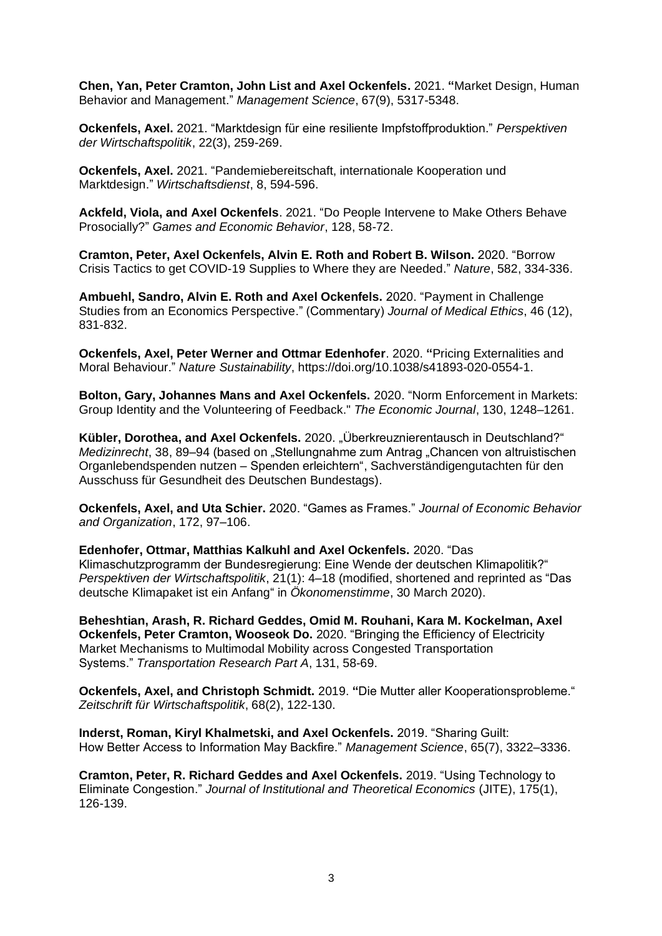**Chen, Yan, Peter Cramton, John List and Axel Ockenfels.** 2021. **"**Market Design, Human Behavior and Management." *Management Science*, 67(9), 5317-5348.

**Ockenfels, Axel.** 2021. "Marktdesign für eine resiliente Impfstoffproduktion." *Perspektiven der Wirtschaftspolitik*, 22(3), 259-269.

**Ockenfels, Axel.** 2021. "Pandemiebereitschaft, internationale Kooperation und Marktdesign." *Wirtschaftsdienst*, 8, 594-596.

**Ackfeld, Viola, and Axel Ockenfels**. 2021. "Do People Intervene to Make Others Behave Prosocially?" *Games and Economic Behavior*, 128, 58-72.

**Cramton, Peter, Axel Ockenfels, Alvin E. Roth and Robert B. Wilson.** 2020. "Borrow Crisis Tactics to get COVID-19 Supplies to Where they are Needed." *Nature*, 582, 334-336.

**Ambuehl, Sandro, Alvin E. Roth and Axel Ockenfels.** 2020. "Payment in Challenge Studies from an Economics Perspective." (Commentary) *Journal of Medical Ethics*, 46 (12), 831-832.

**Ockenfels, Axel, Peter Werner and Ottmar Edenhofer**. 2020. **"**Pricing Externalities and Moral Behaviour." *Nature Sustainability*, https://doi.org/10.1038/s41893-020-0554-1.

**Bolton, Gary, Johannes Mans and Axel Ockenfels.** 2020. "Norm Enforcement in Markets: Group Identity and the Volunteering of Feedback." *The Economic Journal*, 130, 1248–1261.

**Kübler, Dorothea, and Axel Ockenfels.** 2020. "Überkreuznierentausch in Deutschland?" *Medizinrecht*, 38, 89–94 (based on "Stellungnahme zum Antrag "Chancen von altruistischen Organlebendspenden nutzen – Spenden erleichtern", Sachverständigengutachten für den Ausschuss für Gesundheit des Deutschen Bundestags).

**Ockenfels, Axel, and Uta Schier.** 2020. "Games as Frames." *Journal of Economic Behavior and Organization*, 172, 97–106.

**Edenhofer, Ottmar, Matthias Kalkuhl and Axel Ockenfels.** 2020. "Das Klimaschutzprogramm der Bundesregierung: Eine Wende der deutschen Klimapolitik?" *Perspektiven der Wirtschaftspolitik*, 21(1): 4–18 (modified, shortened and reprinted as "Das deutsche Klimapaket ist ein Anfang" in *Ökonomenstimme*, 30 March 2020).

**Beheshtian, Arash, R. Richard Geddes, Omid M. Rouhani, Kara M. Kockelman, Axel Ockenfels, Peter Cramton, Wooseok Do.** 2020. "Bringing the Efficiency of Electricity Market Mechanisms to Multimodal Mobility across Congested Transportation Systems." *Transportation Research Part A*, 131, 58-69.

**Ockenfels, Axel, and Christoph Schmidt.** 2019. **"**Die Mutter aller Kooperationsprobleme." *Zeitschrift für Wirtschaftspolitik*, 68(2), 122-130.

**Inderst, Roman, Kiryl Khalmetski, and Axel Ockenfels.** 2019. "Sharing Guilt: How Better Access to Information May Backfire." *Management Science*, 65(7), 3322–3336.

**Cramton, Peter, R. Richard Geddes and Axel Ockenfels.** 2019. "Using Technology to Eliminate Congestion." *Journal of Institutional and Theoretical Economics* (JITE), 175(1), 126-139.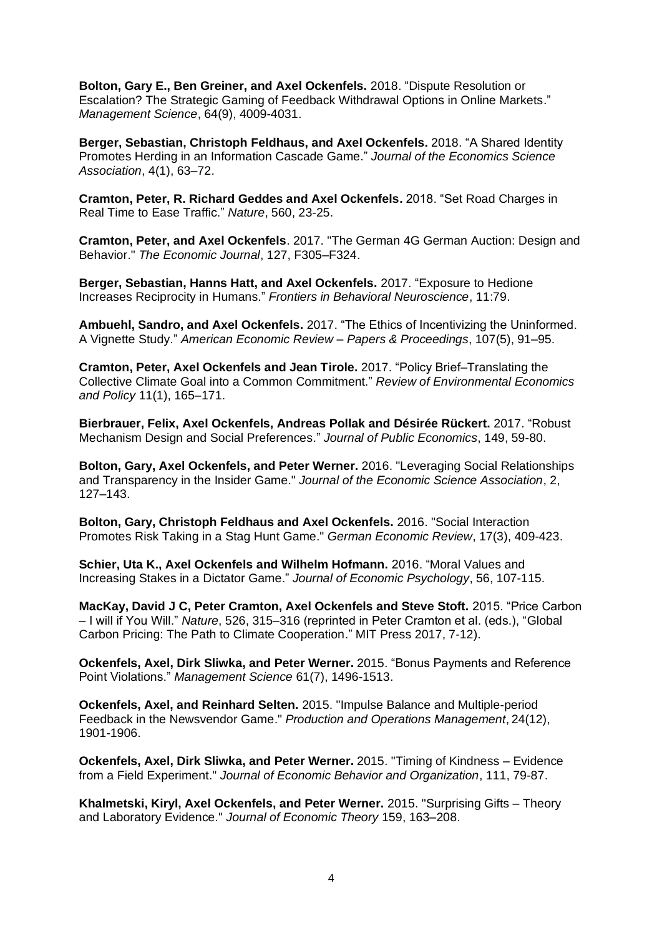**Bolton, Gary E., Ben Greiner, and Axel Ockenfels.** 2018. "Dispute Resolution or Escalation? The Strategic Gaming of Feedback Withdrawal Options in Online Markets." *Management Science*, 64(9), 4009-4031.

**Berger, Sebastian, Christoph Feldhaus, and Axel Ockenfels.** 2018. "A Shared Identity Promotes Herding in an Information Cascade Game." *Journal of the Economics Science Association*, 4(1), 63–72.

**Cramton, Peter, R. Richard Geddes and Axel Ockenfels.** 2018. "Set Road Charges in Real Time to Ease Traffic." *Nature*, 560, 23-25.

**Cramton, Peter, and Axel Ockenfels**. 2017. "The German 4G German Auction: Design and Behavior." *The Economic Journal*, 127, F305–F324.

**Berger, Sebastian, Hanns Hatt, and Axel Ockenfels.** 2017. "Exposure to Hedione Increases Reciprocity in Humans." *Frontiers in Behavioral Neuroscience*, 11:79.

**Ambuehl, Sandro, and Axel Ockenfels.** 2017. "The Ethics of Incentivizing the Uninformed. A Vignette Study." *American Economic Review – Papers & Proceedings*, 107(5), 91–95.

**Cramton, Peter, Axel Ockenfels and Jean Tirole.** 2017. "Policy Brief–Translating the Collective Climate Goal into a Common Commitment." *Review of Environmental Economics and Policy* 11(1), 165–171.

**Bierbrauer, Felix, Axel Ockenfels, Andreas Pollak and Désirée Rückert.** 2017. "Robust Mechanism Design and Social Preferences." *Journal of Public Economics*, 149, 59-80.

**Bolton, Gary, Axel Ockenfels, and Peter Werner.** 2016. "Leveraging Social Relationships and Transparency in the Insider Game." *Journal of the Economic Science Association*, 2, 127–143.

**Bolton, Gary, Christoph Feldhaus and Axel Ockenfels.** 2016. "Social Interaction Promotes Risk Taking in a Stag Hunt Game." *German Economic Review*, 17(3), 409-423.

**Schier, Uta K., Axel Ockenfels and Wilhelm Hofmann.** 2016. "Moral Values and Increasing Stakes in a Dictator Game." *Journal of Economic Psychology*, 56, 107-115.

**MacKay, David J C, Peter Cramton, Axel Ockenfels and Steve Stoft.** 2015. "Price Carbon – I will if You Will." *Nature*, 526, 315–316 (reprinted in Peter Cramton et al. (eds.), "Global Carbon Pricing: The Path to Climate Cooperation." MIT Press 2017, 7-12).

**Ockenfels, Axel, Dirk Sliwka, and Peter Werner.** 2015. "Bonus Payments and Reference Point Violations." *Management Science* 61(7), 1496-1513.

**Ockenfels, Axel, and Reinhard Selten.** 2015. "Impulse Balance and Multiple-period Feedback in the Newsvendor Game." *Production and Operations Management*, 24(12), 1901-1906.

**Ockenfels, Axel, Dirk Sliwka, and Peter Werner.** 2015. "Timing of Kindness – Evidence from a Field Experiment." *Journal of Economic Behavior and Organization*, 111, 79-87.

**Khalmetski, Kiryl, Axel Ockenfels, and Peter Werner.** 2015. "Surprising Gifts – Theory and Laboratory Evidence." *Journal of Economic Theory* 159, 163–208.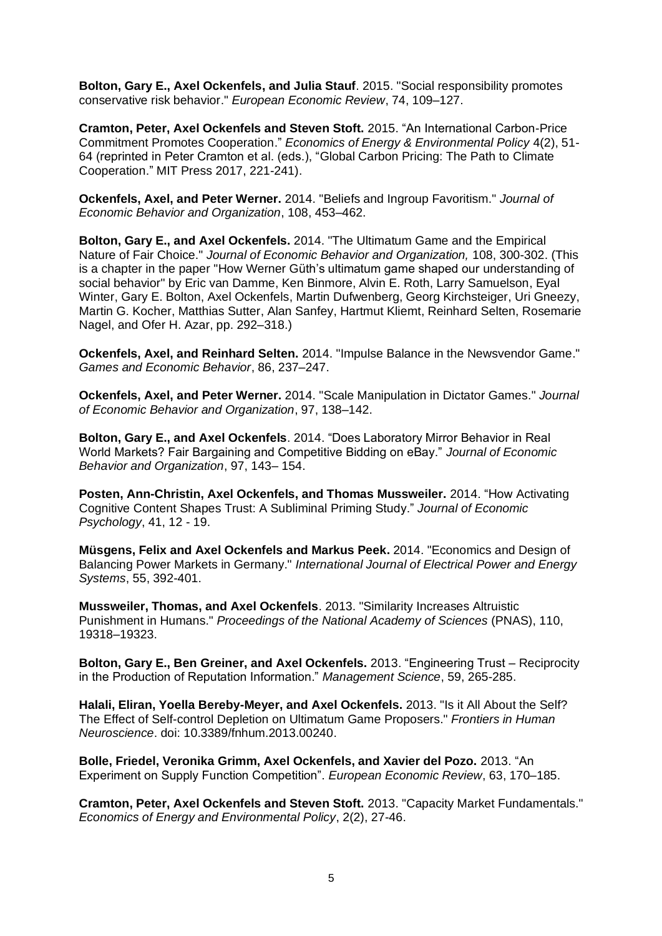**Bolton, Gary E., Axel Ockenfels, and Julia Stauf**. 2015. "Social responsibility promotes conservative risk behavior." *European Economic Review*, 74, 109–127.

**Cramton, Peter, Axel Ockenfels and Steven Stoft.** 2015. "An International Carbon-Price Commitment Promotes Cooperation." *Economics of Energy & Environmental Policy* 4(2), 51- 64 (reprinted in Peter Cramton et al. (eds.), "Global Carbon Pricing: The Path to Climate Cooperation." MIT Press 2017, 221-241).

**Ockenfels, Axel, and Peter Werner.** 2014. "Beliefs and Ingroup Favoritism." *Journal of Economic Behavior and Organization*, 108, 453–462.

**Bolton, Gary E., and Axel Ockenfels.** 2014. "The Ultimatum Game and the Empirical Nature of Fair Choice." *Journal of Economic Behavior and Organization,* 108, 300-302. (This is a chapter in the paper "How Werner Güth's ultimatum game shaped our understanding of social behavior" by Eric van Damme, Ken Binmore, Alvin E. Roth, Larry Samuelson, Eyal Winter, Gary E. Bolton, Axel Ockenfels, Martin Dufwenberg, Georg Kirchsteiger, Uri Gneezy, Martin G. Kocher, Matthias Sutter, Alan Sanfey, Hartmut Kliemt, Reinhard Selten, Rosemarie Nagel, and Ofer H. Azar, pp. 292–318.)

**Ockenfels, Axel, and Reinhard Selten.** 2014. "Impulse Balance in the Newsvendor Game." *Games and Economic Behavior*, 86, 237–247.

**Ockenfels, Axel, and Peter Werner.** 2014. "Scale Manipulation in Dictator Games." *Journal of Economic Behavior and Organization*, 97, 138–142.

**Bolton, Gary E., and Axel Ockenfels**. 2014. "Does Laboratory Mirror Behavior in Real World Markets? Fair Bargaining and Competitive Bidding on eBay." *Journal of Economic Behavior and Organization*, 97, 143– 154.

**Posten, Ann-Christin, Axel Ockenfels, and Thomas Mussweiler.** 2014. "How Activating Cognitive Content Shapes Trust: A Subliminal Priming Study." *Journal of Economic Psychology*, 41, 12 - 19.

**Müsgens, Felix and Axel Ockenfels and Markus Peek.** 2014. "Economics and Design of Balancing Power Markets in Germany." *International Journal of Electrical Power and Energy Systems*, 55, 392-401.

**Mussweiler, Thomas, and Axel Ockenfels**. 2013. "Similarity Increases Altruistic Punishment in Humans." *Proceedings of the National Academy of Sciences* (PNAS), 110, 19318–19323.

**Bolton, Gary E., Ben Greiner, and Axel Ockenfels.** 2013. "Engineering Trust – Reciprocity in the Production of Reputation Information." *Management Science*, 59, 265-285.

**Halali, Eliran, Yoella Bereby-Meyer, and Axel Ockenfels.** 2013. "Is it All About the Self? The Effect of Self-control Depletion on Ultimatum Game Proposers." *Frontiers in Human Neuroscience*. doi: 10.3389/fnhum.2013.00240.

**Bolle, Friedel, Veronika Grimm, Axel Ockenfels, and Xavier del Pozo.** 2013. "An Experiment on Supply Function Competition". *European Economic Review*, 63, 170–185.

**Cramton, Peter, Axel Ockenfels and Steven Stoft.** 2013. "Capacity Market Fundamentals." *Economics of Energy and Environmental Policy*, 2(2), 27-46.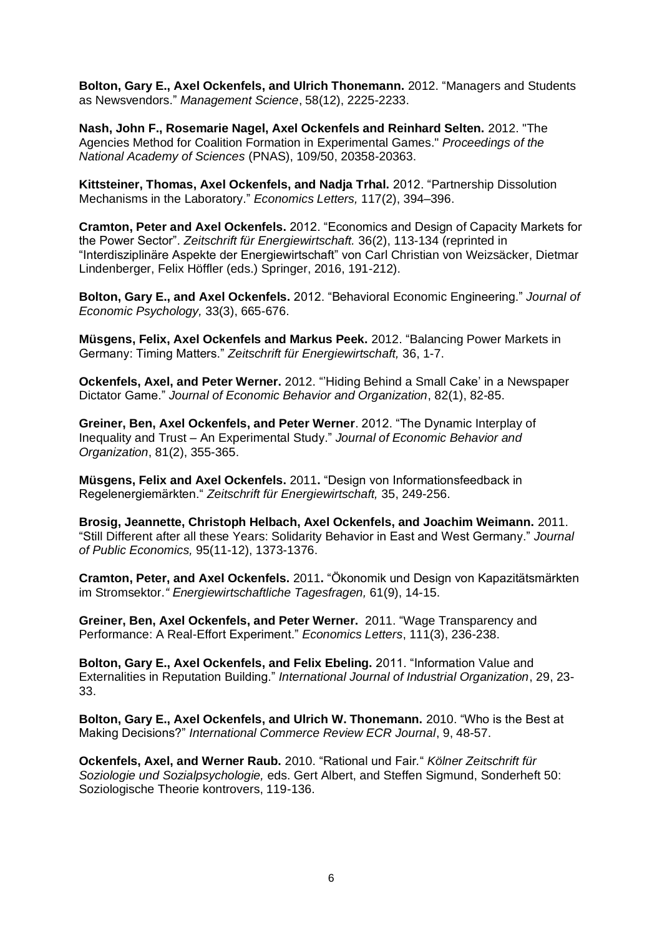**Bolton, Gary E., Axel Ockenfels, and Ulrich Thonemann.** 2012. "Managers and Students as Newsvendors." *Management Science*, 58(12), 2225-2233.

**Nash, John F., Rosemarie Nagel, Axel Ockenfels and Reinhard Selten.** 2012. "The Agencies Method for Coalition Formation in Experimental Games." *Proceedings of the National Academy of Sciences* (PNAS), 109/50, 20358-20363.

**Kittsteiner, Thomas, Axel Ockenfels, and Nadja Trhal.** 2012. "Partnership Dissolution Mechanisms in the Laboratory." *Economics Letters,* 117(2), 394–396.

**Cramton, Peter and Axel Ockenfels.** 2012. "Economics and Design of Capacity Markets for the Power Sector". *Zeitschrift für Energiewirtschaft.* 36(2), 113-134 (reprinted in "Interdisziplinäre Aspekte der Energiewirtschaft" von Carl Christian von Weizsäcker, Dietmar Lindenberger, Felix Höffler (eds.) Springer, 2016, 191-212).

**Bolton, Gary E., and Axel Ockenfels.** 2012. "Behavioral Economic Engineering." *Journal of Economic Psychology,* 33(3), 665-676.

**Müsgens, Felix, Axel Ockenfels and Markus Peek.** 2012. "Balancing Power Markets in Germany: Timing Matters." *Zeitschrift für Energiewirtschaft,* 36, 1-7.

**Ockenfels, Axel, and Peter Werner.** 2012. "'Hiding Behind a Small Cake' in a Newspaper Dictator Game." *Journal of Economic Behavior and Organization*, 82(1), 82-85.

**Greiner, Ben, Axel Ockenfels, and Peter Werner**. 2012. "The Dynamic Interplay of Inequality and Trust – An Experimental Study." *Journal of Economic Behavior and Organization*, 81(2), 355-365.

**Müsgens, Felix and Axel Ockenfels.** 2011**.** "Design von Informationsfeedback in Regelenergiemärkten." *Zeitschrift für Energiewirtschaft,* 35, 249-256.

**Brosig, Jeannette, Christoph Helbach, Axel Ockenfels, and Joachim Weimann.** 2011. "Still Different after all these Years: Solidarity Behavior in East and West Germany." *Journal of Public Economics,* 95(11-12), 1373-1376.

**Cramton, Peter, and Axel Ockenfels.** 2011**.** "Ökonomik und Design von Kapazitätsmärkten im Stromsektor.*" Energiewirtschaftliche Tagesfragen,* 61(9), 14-15.

**Greiner, Ben, Axel Ockenfels, and Peter Werner.** 2011. "Wage Transparency and Performance: A Real-Effort Experiment." *Economics Letters*, 111(3), 236-238.

**Bolton, Gary E., Axel Ockenfels, and Felix Ebeling.** 2011. "Information Value and Externalities in Reputation Building." *International Journal of Industrial Organization*, 29, 23- 33.

**Bolton, Gary E., Axel Ockenfels, and Ulrich W. Thonemann.** 2010. "Who is the Best at Making Decisions?" *International Commerce Review ECR Journal*, 9, 48-57.

**Ockenfels, Axel, and Werner Raub.** 2010. "Rational und Fair*.*" *Kölner Zeitschrift für Soziologie und Sozialpsychologie,* eds. Gert Albert, and Steffen Sigmund, Sonderheft 50: Soziologische Theorie kontrovers, 119-136.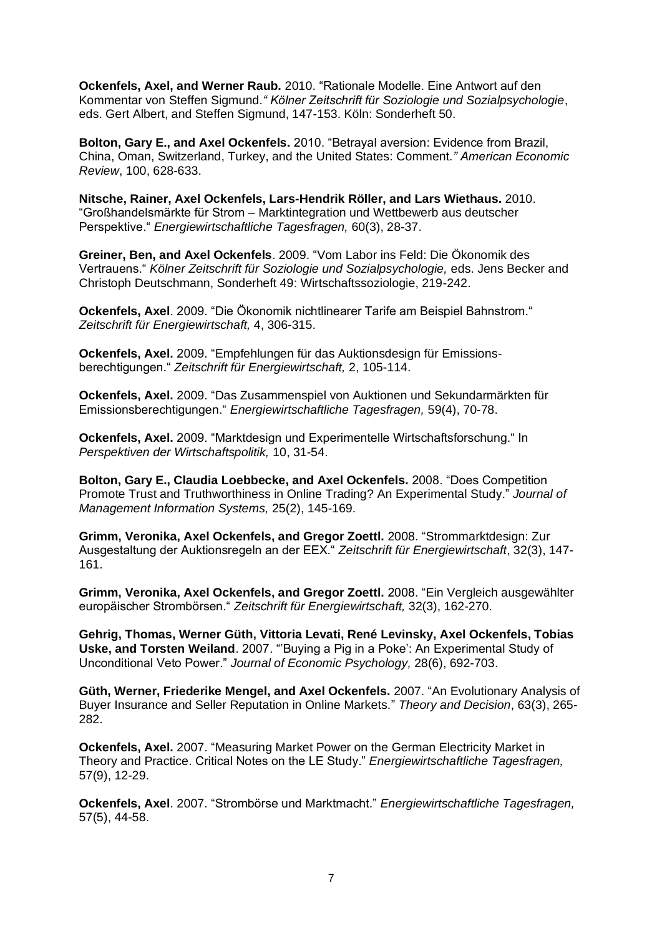**Ockenfels, Axel, and Werner Raub.** 2010. "Rationale Modelle. Eine Antwort auf den Kommentar von Steffen Sigmund.*" Kölner Zeitschrift für Soziologie und Sozialpsychologie*, eds. Gert Albert, and Steffen Sigmund, 147-153. Köln: Sonderheft 50.

**Bolton, Gary E., and Axel Ockenfels.** 2010. "Betrayal aversion: Evidence from Brazil, China, Oman, Switzerland, Turkey, and the United States: Comment*." American Economic Review*, 100, 628-633.

**Nitsche, Rainer, Axel Ockenfels, Lars-Hendrik Röller, and Lars Wiethaus.** 2010. "Großhandelsmärkte für Strom – Marktintegration und Wettbewerb aus deutscher Perspektive." *Energiewirtschaftliche Tagesfragen,* 60(3), 28-37.

**Greiner, Ben, and Axel Ockenfels**. 2009. "Vom Labor ins Feld: Die Ökonomik des Vertrauens." *Kölner Zeitschrift für Soziologie und Sozialpsychologie,* eds. Jens Becker and Christoph Deutschmann, Sonderheft 49: Wirtschaftssoziologie, 219-242.

**Ockenfels, Axel**. 2009. "Die Ökonomik nichtlinearer Tarife am Beispiel Bahnstrom." *Zeitschrift für Energiewirtschaft,* 4, 306-315.

**Ockenfels, Axel.** 2009. "Empfehlungen für das Auktionsdesign für Emissionsberechtigungen." *Zeitschrift für Energiewirtschaft,* 2, 105-114.

**Ockenfels, Axel.** 2009. "Das Zusammenspiel von Auktionen und Sekundarmärkten für Emissionsberechtigungen." *Energiewirtschaftliche Tagesfragen,* 59(4), 70-78.

**Ockenfels, Axel.** 2009. "Marktdesign und Experimentelle Wirtschaftsforschung." In *Perspektiven der Wirtschaftspolitik,* 10, 31-54.

**Bolton, Gary E., Claudia Loebbecke, and Axel Ockenfels.** 2008. "Does Competition Promote Trust and Truthworthiness in Online Trading? An Experimental Study." *Journal of Management Information Systems,* 25(2), 145-169.

**Grimm, Veronika, Axel Ockenfels, and Gregor Zoettl.** 2008. "Strommarktdesign: Zur Ausgestaltung der Auktionsregeln an der EEX." *Zeitschrift für Energiewirtschaft*, 32(3), 147- 161.

**Grimm, Veronika, Axel Ockenfels, and Gregor Zoettl.** 2008. "Ein Vergleich ausgewählter europäischer Strombörsen." *Zeitschrift für Energiewirtschaft,* 32(3), 162-270.

**Gehrig, Thomas, Werner Güth, Vittoria Levati, René Levinsky, Axel Ockenfels, Tobias Uske, and Torsten Weiland**. 2007. "'Buying a Pig in a Poke': An Experimental Study of Unconditional Veto Power." *Journal of Economic Psychology,* 28(6), 692-703.

**Güth, Werner, Friederike Mengel, and Axel Ockenfels.** 2007. "An Evolutionary Analysis of Buyer Insurance and Seller Reputation in Online Markets." *Theory and Decision*, 63(3), 265- 282.

**Ockenfels, Axel.** 2007. "Measuring Market Power on the German Electricity Market in Theory and Practice. Critical Notes on the LE Study." *Energiewirtschaftliche Tagesfragen,*  57(9), 12-29.

**Ockenfels, Axel**. 2007. "Strombörse und Marktmacht." *Energiewirtschaftliche Tagesfragen,*  57(5), 44-58.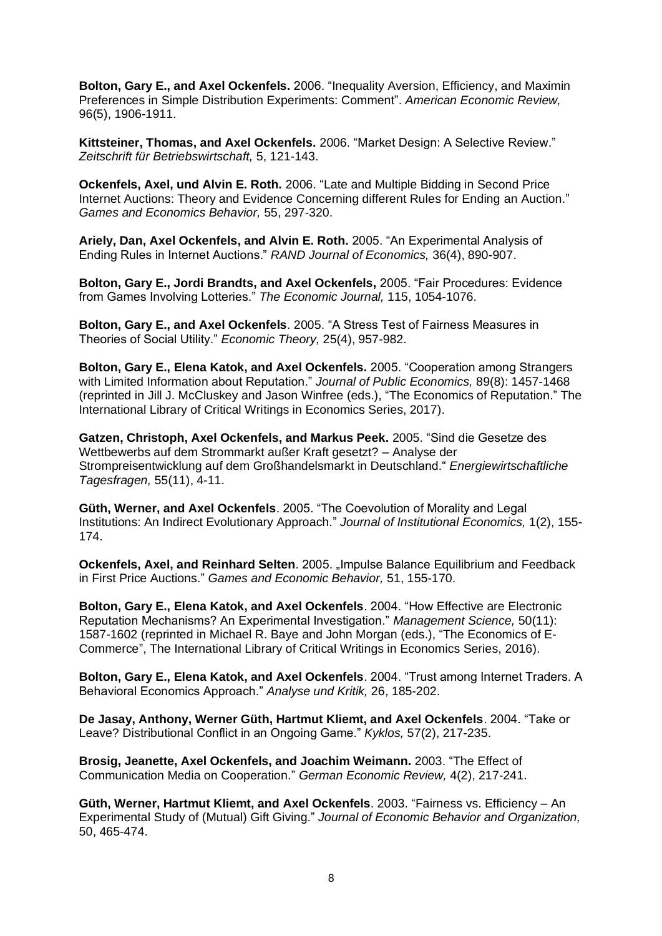**Bolton, Gary E., and Axel Ockenfels.** 2006. "Inequality Aversion, Efficiency, and Maximin Preferences in Simple Distribution Experiments: Comment". *American Economic Review,*  96(5), 1906-1911.

**Kittsteiner, Thomas, and Axel Ockenfels.** 2006. "Market Design: A Selective Review." *Zeitschrift für Betriebswirtschaft,* 5, 121-143.

**Ockenfels, Axel, und Alvin E. Roth.** 2006. "Late and Multiple Bidding in Second Price Internet Auctions: Theory and Evidence Concerning different Rules for Ending an Auction." *Games and Economics Behavior,* 55, 297-320.

**Ariely, Dan, Axel Ockenfels, and Alvin E. Roth.** 2005. "An Experimental Analysis of Ending Rules in Internet Auctions." *RAND Journal of Economics,* 36(4), 890-907.

**Bolton, Gary E., Jordi Brandts, and Axel Ockenfels,** 2005. "Fair Procedures: Evidence from Games Involving Lotteries." *The Economic Journal,* 115, 1054-1076.

**Bolton, Gary E., and Axel Ockenfels**. 2005. "A Stress Test of Fairness Measures in Theories of Social Utility." *Economic Theory,* 25(4), 957-982.

**Bolton, Gary E., Elena Katok, and Axel Ockenfels.** 2005. "Cooperation among Strangers with Limited Information about Reputation." *Journal of Public Economics,* 89(8): 1457-1468 (reprinted in Jill J. McCluskey and Jason Winfree (eds.), "The Economics of Reputation." The International Library of Critical Writings in Economics Series, 2017).

**Gatzen, Christoph, Axel Ockenfels, and Markus Peek.** 2005. "Sind die Gesetze des Wettbewerbs auf dem Strommarkt außer Kraft gesetzt? – Analyse der Strompreisentwicklung auf dem Großhandelsmarkt in Deutschland." *Energiewirtschaftliche Tagesfragen,* 55(11), 4-11.

**Güth, Werner, and Axel Ockenfels**. 2005. "The Coevolution of Morality and Legal Institutions: An Indirect Evolutionary Approach." *Journal of Institutional Economics,* 1(2), 155- 174.

**Ockenfels, Axel, and Reinhard Selten**. 2005. "Impulse Balance Equilibrium and Feedback in First Price Auctions." *Games and Economic Behavior,* 51, 155-170.

**Bolton, Gary E., Elena Katok, and Axel Ockenfels**. 2004. "How Effective are Electronic Reputation Mechanisms? An Experimental Investigation." *Management Science,* 50(11): 1587-1602 (reprinted in Michael R. Baye and John Morgan (eds.), "The Economics of E-Commerce", The International Library of Critical Writings in Economics Series, 2016).

**Bolton, Gary E., Elena Katok, and Axel Ockenfels**. 2004. "Trust among Internet Traders. A Behavioral Economics Approach." *Analyse und Kritik,* 26, 185-202.

**De Jasay, Anthony, Werner Güth, Hartmut Kliemt, and Axel Ockenfels**. 2004. "Take or Leave? Distributional Conflict in an Ongoing Game." *Kyklos,* 57(2), 217-235.

**Brosig, Jeanette, Axel Ockenfels, and Joachim Weimann.** 2003. "The Effect of Communication Media on Cooperation." *German Economic Review,* 4(2), 217-241.

**Güth, Werner, Hartmut Kliemt, and Axel Ockenfels**. 2003. "Fairness vs. Efficiency – An Experimental Study of (Mutual) Gift Giving." *Journal of Economic Behavior and Organization,*  50, 465-474.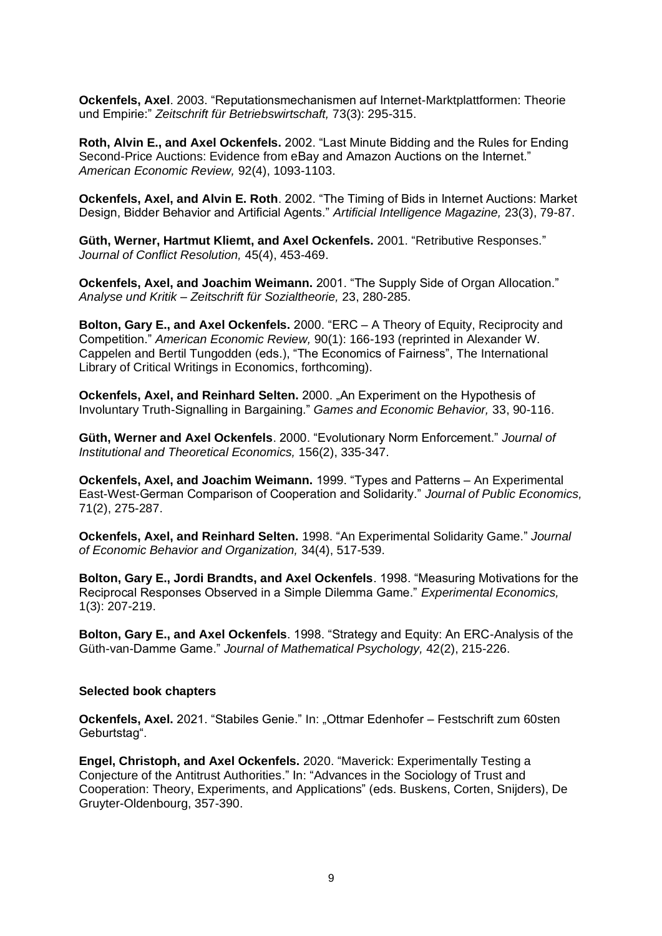**Ockenfels, Axel**. 2003. "Reputationsmechanismen auf Internet-Marktplattformen: Theorie und Empirie:" *Zeitschrift für Betriebswirtschaft,* 73(3): 295-315.

**Roth, Alvin E., and Axel Ockenfels.** 2002. "Last Minute Bidding and the Rules for Ending Second-Price Auctions: Evidence from eBay and Amazon Auctions on the Internet." *American Economic Review,* 92(4), 1093-1103.

**Ockenfels, Axel, and Alvin E. Roth**. 2002. "The Timing of Bids in Internet Auctions: Market Design, Bidder Behavior and Artificial Agents." *Artificial Intelligence Magazine,* 23(3), 79-87.

**Güth, Werner, Hartmut Kliemt, and Axel Ockenfels.** 2001. "Retributive Responses." *Journal of Conflict Resolution,* 45(4), 453-469.

**Ockenfels, Axel, and Joachim Weimann.** 2001. "The Supply Side of Organ Allocation." *Analyse und Kritik – Zeitschrift für Sozialtheorie,* 23, 280-285.

**Bolton, Gary E., and Axel Ockenfels.** 2000. "ERC – A Theory of Equity, Reciprocity and Competition." *American Economic Review,* 90(1): 166-193 (reprinted in Alexander W. Cappelen and Bertil Tungodden (eds.), "The Economics of Fairness", The International Library of Critical Writings in Economics, forthcoming).

**Ockenfels, Axel, and Reinhard Selten.** 2000. "An Experiment on the Hypothesis of Involuntary Truth-Signalling in Bargaining." *Games and Economic Behavior,* 33, 90-116.

**Güth, Werner and Axel Ockenfels**. 2000. "Evolutionary Norm Enforcement." *Journal of Institutional and Theoretical Economics,* 156(2), 335-347.

**Ockenfels, Axel, and Joachim Weimann.** 1999. "Types and Patterns – An Experimental East-West-German Comparison of Cooperation and Solidarity." *Journal of Public Economics,*  71(2), 275-287.

**Ockenfels, Axel, and Reinhard Selten.** 1998. "An Experimental Solidarity Game." *Journal of Economic Behavior and Organization,* 34(4), 517-539.

**Bolton, Gary E., Jordi Brandts, and Axel Ockenfels**. 1998. "Measuring Motivations for the Reciprocal Responses Observed in a Simple Dilemma Game." *Experimental Economics,*  1(3): 207-219.

**Bolton, Gary E., and Axel Ockenfels**. 1998. "Strategy and Equity: An ERC-Analysis of the Güth-van-Damme Game." *Journal of Mathematical Psychology,* 42(2), 215-226.

#### **Selected book chapters**

**Ockenfels, Axel.** 2021. "Stabiles Genie." In: "Ottmar Edenhofer – Festschrift zum 60sten Geburtstag".

**Engel, Christoph, and Axel Ockenfels.** 2020. "Maverick: Experimentally Testing a Conjecture of the Antitrust Authorities." In: "Advances in the Sociology of Trust and Cooperation: Theory, Experiments, and Applications" (eds. Buskens, Corten, Snijders), De Gruyter-Oldenbourg, 357-390.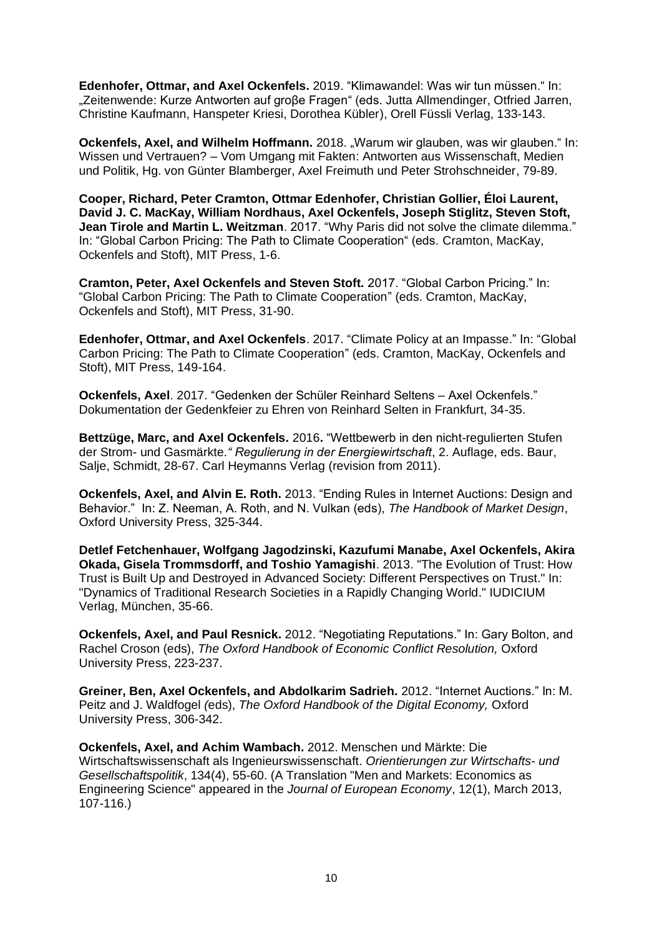**Edenhofer, Ottmar, and Axel Ockenfels.** 2019. "Klimawandel: Was wir tun müssen." In: "Zeitenwende: Kurze Antworten auf große Fragen" (eds. Jutta Allmendinger, Otfried Jarren, Christine Kaufmann, Hanspeter Kriesi, Dorothea Kübler), Orell Füssli Verlag, 133-143.

**Ockenfels, Axel, and Wilhelm Hoffmann.** 2018. "Warum wir glauben, was wir glauben." In: Wissen und Vertrauen? – Vom Umgang mit Fakten: Antworten aus Wissenschaft, Medien und Politik, Hg. von Günter Blamberger, Axel Freimuth und Peter Strohschneider, 79-89.

**Cooper, Richard, Peter Cramton, Ottmar Edenhofer, Christian Gollier, Éloi Laurent, David J. C. MacKay, William Nordhaus, Axel Ockenfels, Joseph Stiglitz, Steven Stoft, Jean Tirole and Martin L. Weitzman**. 2017. "Why Paris did not solve the climate dilemma." In: "Global Carbon Pricing: The Path to Climate Cooperation" (eds. Cramton, MacKay, Ockenfels and Stoft), MIT Press, 1-6.

**Cramton, Peter, Axel Ockenfels and Steven Stoft.** 2017. "Global Carbon Pricing." In: "Global Carbon Pricing: The Path to Climate Cooperation" (eds. Cramton, MacKay, Ockenfels and Stoft), MIT Press, 31-90.

**Edenhofer, Ottmar, and Axel Ockenfels**. 2017. "Climate Policy at an Impasse." In: "Global Carbon Pricing: The Path to Climate Cooperation" (eds. Cramton, MacKay, Ockenfels and Stoft), MIT Press, 149-164.

**Ockenfels, Axel**. 2017. "Gedenken der Schüler Reinhard Seltens – Axel Ockenfels." Dokumentation der Gedenkfeier zu Ehren von Reinhard Selten in Frankfurt, 34-35.

**Bettzüge, Marc, and Axel Ockenfels.** 2016**.** "Wettbewerb in den nicht-regulierten Stufen der Strom- und Gasmärkte*." Regulierung in der Energiewirtschaft*, 2. Auflage, eds. Baur, Salje, Schmidt, 28-67. Carl Heymanns Verlag (revision from 2011).

**Ockenfels, Axel, and Alvin E. Roth.** 2013. "Ending Rules in Internet Auctions: Design and Behavior." In: Z. Neeman, A. Roth, and N. Vulkan (eds), *The Handbook of Market Design*, Oxford University Press, 325-344.

**Detlef Fetchenhauer, Wolfgang Jagodzinski, Kazufumi Manabe, Axel Ockenfels, Akira Okada, Gisela Trommsdorff, and Toshio Yamagishi**. 2013. "The Evolution of Trust: How Trust is Built Up and Destroyed in Advanced Society: Different Perspectives on Trust." In: "Dynamics of Traditional Research Societies in a Rapidly Changing World." IUDICIUM Verlag, München, 35-66.

**Ockenfels, Axel, and Paul Resnick.** 2012. "Negotiating Reputations." In: Gary Bolton, and Rachel Croson (eds), *The Oxford Handbook of Economic Conflict Resolution,* Oxford University Press, 223-237.

**Greiner, Ben, Axel Ockenfels, and Abdolkarim Sadrieh.** 2012. "Internet Auctions." In: M. Peitz and J. Waldfogel *(*eds), *The Oxford Handbook of the Digital Economy,* Oxford University Press, 306-342.

**Ockenfels, Axel, and Achim Wambach.** 2012. Menschen und Märkte: Die Wirtschaftswissenschaft als Ingenieurswissenschaft. *Orientierungen zur Wirtschafts- und Gesellschaftspolitik*, 134(4), 55-60. (A Translation "Men and Markets: Economics as Engineering Science" appeared in the *Journal of European Economy*, 12(1), March 2013, 107-116.)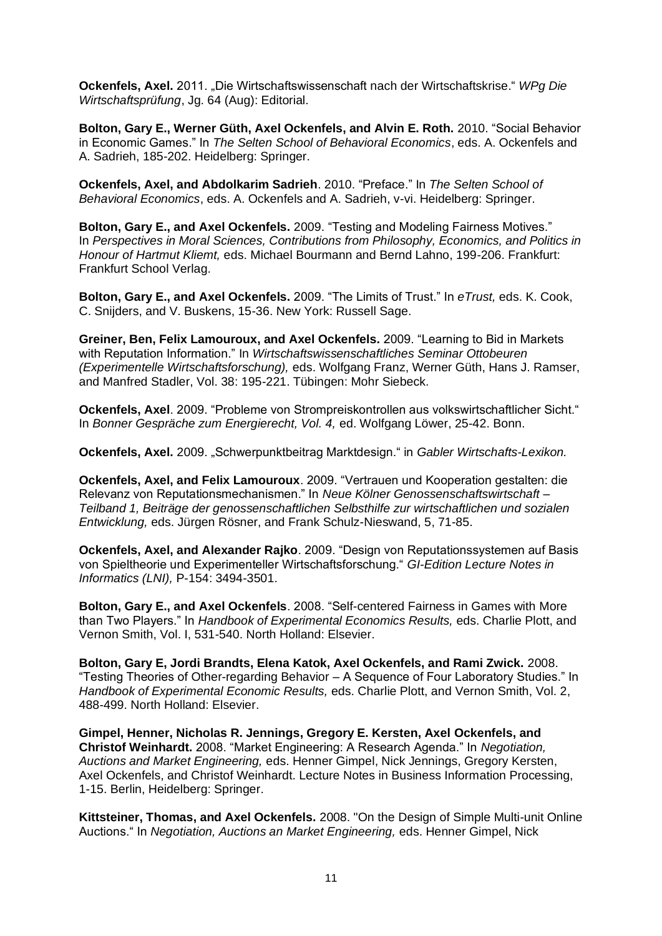**Ockenfels, Axel.** 2011. "Die Wirtschaftswissenschaft nach der Wirtschaftskrise." *WPg Die Wirtschaftsprüfung*, Jg. 64 (Aug): Editorial.

**Bolton, Gary E., Werner Güth, Axel Ockenfels, and Alvin E. Roth.** 2010. "Social Behavior in Economic Games." In *The Selten School of Behavioral Economics*, eds. A. Ockenfels and A. Sadrieh, 185-202. Heidelberg: Springer.

**Ockenfels, Axel, and Abdolkarim Sadrieh**. 2010. "Preface." In *The Selten School of Behavioral Economics*, eds. A. Ockenfels and A. Sadrieh, v-vi. Heidelberg: Springer.

**Bolton, Gary E., and Axel Ockenfels.** 2009. "Testing and Modeling Fairness Motives." In *Perspectives in Moral Sciences, Contributions from Philosophy, Economics, and Politics in Honour of Hartmut Kliemt,* eds. Michael Bourmann and Bernd Lahno, 199-206. Frankfurt: Frankfurt School Verlag.

**Bolton, Gary E., and Axel Ockenfels.** 2009. "The Limits of Trust." In *eTrust,* eds. K. Cook, C. Snijders, and V. Buskens, 15-36. New York: Russell Sage.

**Greiner, Ben, Felix Lamouroux, and Axel Ockenfels.** 2009. "Learning to Bid in Markets with Reputation Information." In *Wirtschaftswissenschaftliches Seminar Ottobeuren (Experimentelle Wirtschaftsforschung),* eds. Wolfgang Franz, Werner Güth, Hans J. Ramser, and Manfred Stadler, Vol. 38: 195-221. Tübingen: Mohr Siebeck.

**Ockenfels, Axel**. 2009. "Probleme von Strompreiskontrollen aus volkswirtschaftlicher Sicht." In *Bonner Gespräche zum Energierecht, Vol. 4,* ed. Wolfgang Löwer, 25-42. Bonn.

**Ockenfels, Axel.** 2009. "Schwerpunktbeitrag Marktdesign." in *Gabler Wirtschafts-Lexikon.*

**Ockenfels, Axel, and Felix Lamouroux**. 2009. "Vertrauen und Kooperation gestalten: die Relevanz von Reputationsmechanismen." In *Neue Kölner Genossenschaftswirtschaft – Teilband 1, Beiträge der genossenschaftlichen Selbsthilfe zur wirtschaftlichen und sozialen Entwicklung,* eds. Jürgen Rösner, and Frank Schulz-Nieswand, 5, 71-85.

**Ockenfels, Axel, and Alexander Rajko**. 2009. "Design von Reputationssystemen auf Basis von Spieltheorie und Experimenteller Wirtschaftsforschung." *GI-Edition Lecture Notes in Informatics (LNI),* P-154: 3494-3501.

**Bolton, Gary E., and Axel Ockenfels**. 2008. "Self-centered Fairness in Games with More than Two Players." In *Handbook of Experimental Economics Results,* eds. Charlie Plott, and Vernon Smith, Vol. I, 531-540. North Holland: Elsevier.

**Bolton, Gary E, Jordi Brandts, Elena Katok, Axel Ockenfels, and Rami Zwick.** 2008. "Testing Theories of Other-regarding Behavior – A Sequence of Four Laboratory Studies." In *Handbook of Experimental Economic Results,* eds. Charlie Plott, and Vernon Smith, Vol. 2, 488-499. North Holland: Elsevier.

**Gimpel, Henner, Nicholas R. Jennings, Gregory E. Kersten, Axel Ockenfels, and Christof Weinhardt.** 2008. "Market Engineering: A Research Agenda." In *Negotiation, Auctions and Market Engineering,* eds. Henner Gimpel, Nick Jennings, Gregory Kersten, Axel Ockenfels, and Christof Weinhardt. Lecture Notes in Business Information Processing, 1-15. Berlin, Heidelberg: Springer.

**Kittsteiner, Thomas, and Axel Ockenfels.** 2008. "On the Design of Simple Multi-unit Online Auctions." In *Negotiation, Auctions an Market Engineering,* eds. Henner Gimpel, Nick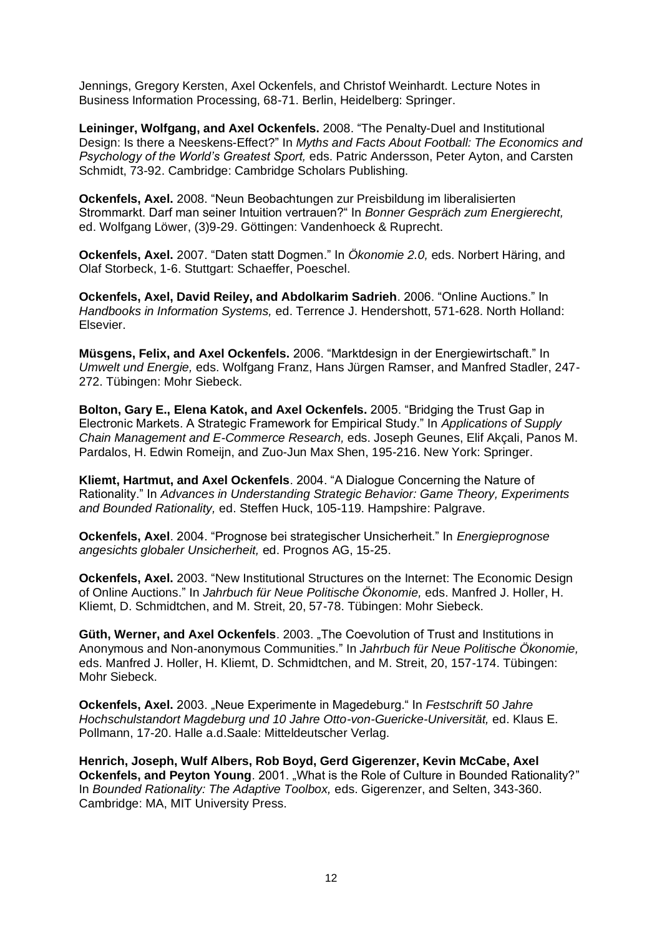Jennings, Gregory Kersten, Axel Ockenfels, and Christof Weinhardt. Lecture Notes in Business Information Processing, 68-71. Berlin, Heidelberg: Springer.

**Leininger, Wolfgang, and Axel Ockenfels.** 2008. "The Penalty-Duel and Institutional Design: Is there a Neeskens-Effect?" In *Myths and Facts About Football: The Economics and Psychology of the World's Greatest Sport,* eds. Patric Andersson, Peter Ayton, and Carsten Schmidt, 73-92. Cambridge: Cambridge Scholars Publishing.

**Ockenfels, Axel.** 2008. "Neun Beobachtungen zur Preisbildung im liberalisierten Strommarkt. Darf man seiner Intuition vertrauen?" In *Bonner Gespräch zum Energierecht,*  ed. Wolfgang Löwer, (3)9-29. Göttingen: Vandenhoeck & Ruprecht.

**Ockenfels, Axel.** 2007. "Daten statt Dogmen." In *Ökonomie 2.0,* eds. Norbert Häring, and Olaf Storbeck, 1-6. Stuttgart: Schaeffer, Poeschel.

**Ockenfels, Axel, David Reiley, and Abdolkarim Sadrieh**. 2006. "Online Auctions." In *Handbooks in Information Systems,* ed. Terrence J. Hendershott, 571-628. North Holland: Elsevier.

**Müsgens, Felix, and Axel Ockenfels.** 2006. "Marktdesign in der Energiewirtschaft." In *Umwelt und Energie,* eds. Wolfgang Franz, Hans Jürgen Ramser, and Manfred Stadler, 247- 272. Tübingen: Mohr Siebeck.

**Bolton, Gary E., Elena Katok, and Axel Ockenfels.** 2005. "Bridging the Trust Gap in Electronic Markets. A Strategic Framework for Empirical Study." In *Applications of Supply Chain Management and E-Commerce Research,* eds. Joseph Geunes, Elif Akçali, Panos M. Pardalos, H. Edwin Romeijn, and Zuo-Jun Max Shen, 195-216. New York: Springer.

**Kliemt, Hartmut, and Axel Ockenfels**. 2004. "A Dialogue Concerning the Nature of Rationality." In *Advances in Understanding Strategic Behavior: Game Theory, Experiments and Bounded Rationality,* ed. Steffen Huck, 105-119. Hampshire: Palgrave.

**Ockenfels, Axel**. 2004. "Prognose bei strategischer Unsicherheit." In *Energieprognose angesichts globaler Unsicherheit,* ed. Prognos AG, 15-25.

**Ockenfels, Axel.** 2003. "New Institutional Structures on the Internet: The Economic Design of Online Auctions." In *Jahrbuch für Neue Politische Ökonomie,* eds. Manfred J. Holler, H. Kliemt, D. Schmidtchen, and M. Streit, 20, 57-78. Tübingen: Mohr Siebeck.

**Güth, Werner, and Axel Ockenfels**. 2003. "The Coevolution of Trust and Institutions in Anonymous and Non-anonymous Communities." In *Jahrbuch für Neue Politische Ökonomie,* eds. Manfred J. Holler, H. Kliemt, D. Schmidtchen, and M. Streit, 20, 157-174. Tübingen: Mohr Siebeck.

**Ockenfels, Axel.** 2003. "Neue Experimente in Magedeburg." In *Festschrift 50 Jahre Hochschulstandort Magdeburg und 10 Jahre Otto-von-Guericke-Universität,* ed. Klaus E. Pollmann, 17-20. Halle a.d.Saale: Mitteldeutscher Verlag.

**Henrich, Joseph, Wulf Albers, Rob Boyd, Gerd Gigerenzer, Kevin McCabe, Axel Ockenfels, and Peyton Young.** 2001. "What is the Role of Culture in Bounded Rationality?" In *Bounded Rationality: The Adaptive Toolbox,* eds. Gigerenzer, and Selten, 343-360. Cambridge: MA, MIT University Press.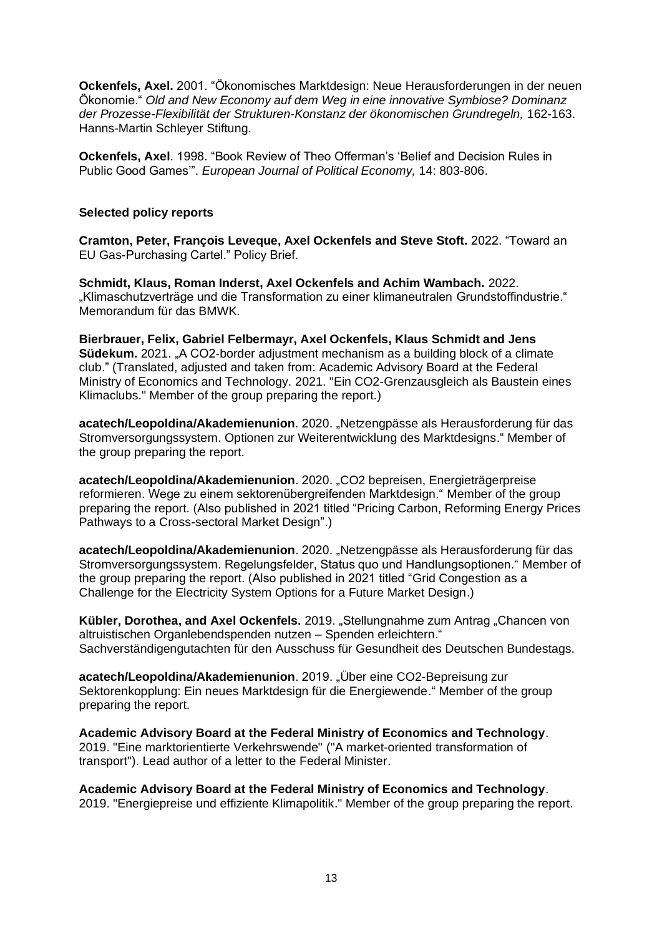**Ockenfels, Axel.** 2001. "Ökonomisches Marktdesign: Neue Herausforderungen in der neuen Ökonomie." *Old and New Economy auf dem Weg in eine innovative Symbiose? Dominanz der Prozesse-Flexibilität der Strukturen-Konstanz der ökonomischen Grundregeln,* 162-163. Hanns-Martin Schleyer Stiftung.

**Ockenfels, Axel**. 1998. "Book Review of Theo Offerman's 'Belief and Decision Rules in Public Good Games'". *European Journal of Political Economy,* 14: 803-806.

# **Selected policy reports**

**Cramton, Peter, François Leveque, Axel Ockenfels and Steve Stoft.** 2022. "Toward an EU Gas-Purchasing Cartel." Policy Brief.

**Schmidt, Klaus, Roman Inderst, Axel Ockenfels and Achim Wambach.** 2022. "Klimaschutzverträge und die Transformation zu einer klimaneutralen Grundstoffindustrie." Memorandum für das BMWK.

**Bierbrauer, Felix, Gabriel Felbermayr, Axel Ockenfels, Klaus Schmidt and Jens Südekum.** 2021. "A CO2-border adjustment mechanism as a building block of a climate club." (Translated, adjusted and taken from: Academic Advisory Board at the Federal Ministry of Economics and Technology. 2021. "Ein CO2-Grenzausgleich als Baustein eines Klimaclubs." Member of the group preparing the report.)

**acatech/Leopoldina/Akademienunion**. 2020. "Netzengpässe als Herausforderung für das Stromversorgungssystem. Optionen zur Weiterentwicklung des Marktdesigns." Member of the group preparing the report.

**acatech/Leopoldina/Akademienunion**. 2020. "CO2 bepreisen, Energieträgerpreise reformieren. Wege zu einem sektorenübergreifenden Marktdesign." Member of the group preparing the report. (Also published in 2021 titled "Pricing Carbon, Reforming Energy Prices Pathways to a Cross-sectoral Market Design".)

**acatech/Leopoldina/Akademienunion**. 2020. "Netzengpässe als Herausforderung für das Stromversorgungssystem. Regelungsfelder, Status quo und Handlungsoptionen." Member of the group preparing the report. (Also published in 2021 titled "Grid Congestion as a Challenge for the Electricity System Options for a Future Market Design.)

Kübler, Dorothea, and Axel Ockenfels. 2019. "Stellungnahme zum Antrag "Chancen von altruistischen Organlebendspenden nutzen – Spenden erleichtern." Sachverständigengutachten für den Ausschuss für Gesundheit des Deutschen Bundestags.

**acatech/Leopoldina/Akademienunion**. 2019. "Über eine CO2-Bepreisung zur Sektorenkopplung: Ein neues Marktdesign für die Energiewende." Member of the group preparing the report.

**Academic Advisory Board at the Federal Ministry of Economics and Technology**. 2019. "Eine marktorientierte Verkehrswende" ("A market-oriented transformation of transport"). Lead author of a letter to the Federal Minister.

**Academic Advisory Board at the Federal Ministry of Economics and Technology**. 2019. "Energiepreise und effiziente Klimapolitik." Member of the group preparing the report.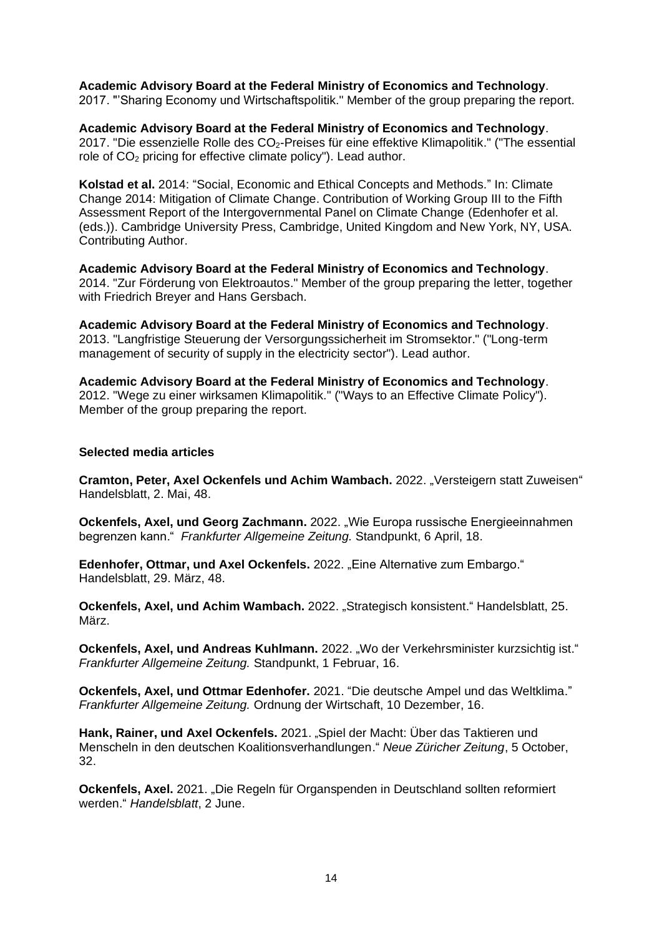### **Academic Advisory Board at the Federal Ministry of Economics and Technology**.

2017. "'Sharing Economy und Wirtschaftspolitik." Member of the group preparing the report.

**Academic Advisory Board at the Federal Ministry of Economics and Technology**. 2017. "Die essenzielle Rolle des CO2-Preises für eine effektive Klimapolitik." ("The essential role of CO<sub>2</sub> pricing for effective climate policy"). Lead author.

**Kolstad et al.** 2014: "Social, Economic and Ethical Concepts and Methods." In: Climate Change 2014: Mitigation of Climate Change. Contribution of Working Group III to the Fifth Assessment Report of the Intergovernmental Panel on Climate Change (Edenhofer et al. (eds.)). Cambridge University Press, Cambridge, United Kingdom and New York, NY, USA. Contributing Author.

**Academic Advisory Board at the Federal Ministry of Economics and Technology**. 2014. "Zur Förderung von Elektroautos." Member of the group preparing the letter, together with Friedrich Breyer and Hans Gersbach.

**Academic Advisory Board at the Federal Ministry of Economics and Technology**. 2013. "Langfristige Steuerung der Versorgungssicherheit im Stromsektor." ("Long-term management of security of supply in the electricity sector"). Lead author.

**Academic Advisory Board at the Federal Ministry of Economics and Technology**. 2012. "Wege zu einer wirksamen Klimapolitik." ("Ways to an Effective Climate Policy"). Member of the group preparing the report.

### **Selected media articles**

**Cramton, Peter, Axel Ockenfels und Achim Wambach.** 2022. "Versteigern statt Zuweisen" Handelsblatt, 2. Mai, 48.

**Ockenfels, Axel, und Georg Zachmann.** 2022. "Wie Europa russische Energieeinnahmen begrenzen kann." *Frankfurter Allgemeine Zeitung.* Standpunkt, 6 April, 18.

**Edenhofer, Ottmar, und Axel Ockenfels.** 2022. "Eine Alternative zum Embargo." Handelsblatt, 29. März, 48.

**Ockenfels, Axel, und Achim Wambach.** 2022. "Strategisch konsistent." Handelsblatt, 25. März.

**Ockenfels, Axel, und Andreas Kuhlmann.** 2022. "Wo der Verkehrsminister kurzsichtig ist." *Frankfurter Allgemeine Zeitung.* Standpunkt, 1 Februar, 16.

**Ockenfels, Axel, und Ottmar Edenhofer.** 2021. "Die deutsche Ampel und das Weltklima." *Frankfurter Allgemeine Zeitung.* Ordnung der Wirtschaft, 10 Dezember, 16.

**Hank, Rainer, und Axel Ockenfels.** 2021. "Spiel der Macht: Über das Taktieren und Menscheln in den deutschen Koalitionsverhandlungen." *Neue Züricher Zeitung*, 5 October, 32.

**Ockenfels, Axel.** 2021. "Die Regeln für Organspenden in Deutschland sollten reformiert werden." *Handelsblatt*, 2 June.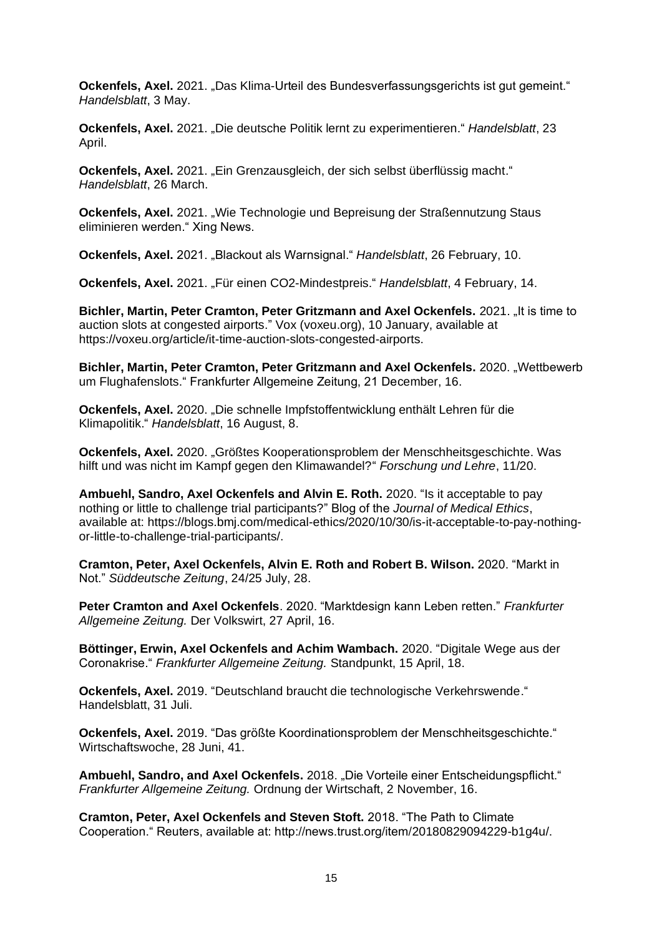**Ockenfels, Axel.** 2021. "Das Klima-Urteil des Bundesverfassungsgerichts ist gut gemeint." *Handelsblatt*, 3 May.

**Ockenfels, Axel.** 2021. "Die deutsche Politik lernt zu experimentieren." *Handelsblatt*, 23 April.

**Ockenfels, Axel.** 2021. "Ein Grenzausgleich, der sich selbst überflüssig macht." *Handelsblatt*, 26 March.

**Ockenfels, Axel.** 2021. "Wie Technologie und Bepreisung der Straßennutzung Staus eliminieren werden." Xing News.

**Ockenfels, Axel.** 2021. "Blackout als Warnsignal." *Handelsblatt*, 26 February, 10.

**Ockenfels, Axel.** 2021. "Für einen CO2-Mindestpreis." Handelsblatt, 4 February, 14.

**Bichler, Martin, Peter Cramton, Peter Gritzmann and Axel Ockenfels, 2021. It is time to** auction slots at congested airports." Vox (voxeu.org), 10 January, available at https://voxeu.org/article/it-time-auction-slots-congested-airports.

**Bichler, Martin, Peter Cramton, Peter Gritzmann and Axel Ockenfels.** 2020. "Wettbewerb um Flughafenslots." Frankfurter Allgemeine Zeitung, 21 December, 16.

**Ockenfels, Axel.** 2020. "Die schnelle Impfstoffentwicklung enthält Lehren für die Klimapolitik." *Handelsblatt*, 16 August, 8.

**Ockenfels, Axel.** 2020. "Größtes Kooperationsproblem der Menschheitsgeschichte. Was hilft und was nicht im Kampf gegen den Klimawandel?" *Forschung und Lehre*, 11/20.

**Ambuehl, Sandro, Axel Ockenfels and Alvin E. Roth.** 2020. "Is it acceptable to pay nothing or little to challenge trial participants?" Blog of the *Journal of Medical Ethics*, available at: https://blogs.bmj.com/medical-ethics/2020/10/30/is-it-acceptable-to-pay-nothingor-little-to-challenge-trial-participants/.

**Cramton, Peter, Axel Ockenfels, Alvin E. Roth and Robert B. Wilson.** 2020. "Markt in Not." *Süddeutsche Zeitung*, 24/25 July, 28.

**Peter Cramton and Axel Ockenfels**. 2020. "Marktdesign kann Leben retten." *Frankfurter Allgemeine Zeitung.* Der Volkswirt, 27 April, 16.

**Böttinger, Erwin, Axel Ockenfels and Achim Wambach.** 2020. "Digitale Wege aus der Coronakrise." *Frankfurter Allgemeine Zeitung.* Standpunkt, 15 April, 18.

**Ockenfels, Axel.** 2019. "Deutschland braucht die technologische Verkehrswende." Handelsblatt, 31 Juli.

**Ockenfels, Axel.** 2019. "Das größte Koordinationsproblem der Menschheitsgeschichte." Wirtschaftswoche, 28 Juni, 41.

**Ambuehl, Sandro, and Axel Ockenfels.** 2018. "Die Vorteile einer Entscheidungspflicht." *Frankfurter Allgemeine Zeitung.* Ordnung der Wirtschaft, 2 November, 16.

**Cramton, Peter, Axel Ockenfels and Steven Stoft.** 2018. "The Path to Climate Cooperation." Reuters, available at: http://news.trust.org/item/20180829094229-b1g4u/.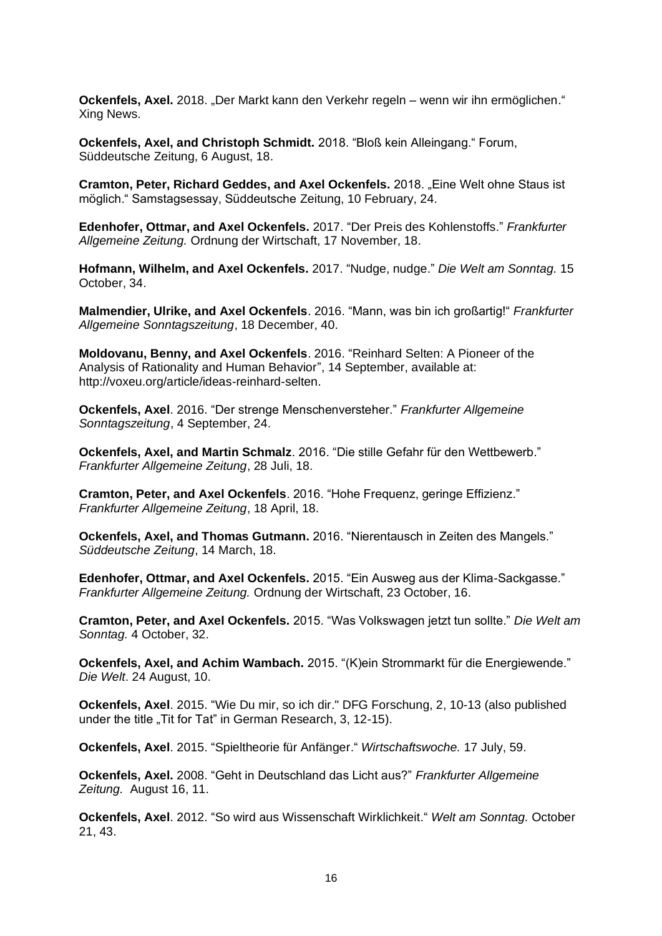**Ockenfels, Axel.** 2018. "Der Markt kann den Verkehr regeln – wenn wir ihn ermöglichen." Xing News.

**Ockenfels, Axel, and Christoph Schmidt.** 2018. "Bloß kein Alleingang." Forum, Süddeutsche Zeitung, 6 August, 18.

**Cramton, Peter, Richard Geddes, and Axel Ockenfels.** 2018. "Eine Welt ohne Staus ist möglich." Samstagsessay, Süddeutsche Zeitung, 10 February, 24.

**Edenhofer, Ottmar, and Axel Ockenfels.** 2017. "Der Preis des Kohlenstoffs." *Frankfurter Allgemeine Zeitung.* Ordnung der Wirtschaft, 17 November, 18.

**Hofmann, Wilhelm, and Axel Ockenfels.** 2017. "Nudge, nudge." *Die Welt am Sonntag.* 15 October, 34.

**Malmendier, Ulrike, and Axel Ockenfels**. 2016. "Mann, was bin ich großartig!" *Frankfurter Allgemeine Sonntagszeitung*, 18 December, 40.

**Moldovanu, Benny, and Axel Ockenfels**. 2016. "Reinhard Selten: A Pioneer of the Analysis of Rationality and Human Behavior", 14 September, available at: http://voxeu.org/article/ideas-reinhard-selten.

**Ockenfels, Axel**. 2016. "Der strenge Menschenversteher." *Frankfurter Allgemeine Sonntagszeitung*, 4 September, 24.

**Ockenfels, Axel, and Martin Schmalz**. 2016. "Die stille Gefahr für den Wettbewerb." *Frankfurter Allgemeine Zeitung*, 28 Juli, 18.

**Cramton, Peter, and Axel Ockenfels**. 2016. "Hohe Frequenz, geringe Effizienz." *Frankfurter Allgemeine Zeitung*, 18 April, 18.

**Ockenfels, Axel, and Thomas Gutmann.** 2016. "Nierentausch in Zeiten des Mangels." *Süddeutsche Zeitung*, 14 March, 18.

**Edenhofer, Ottmar, and Axel Ockenfels.** 2015. "Ein Ausweg aus der Klima-Sackgasse." *Frankfurter Allgemeine Zeitung.* Ordnung der Wirtschaft, 23 October, 16.

**Cramton, Peter, and Axel Ockenfels.** 2015. "Was Volkswagen jetzt tun sollte." *Die Welt am Sonntag.* 4 October, 32.

**Ockenfels, Axel, and Achim Wambach.** 2015. "(K)ein Strommarkt für die Energiewende." *Die Welt*. 24 August, 10.

**Ockenfels, Axel**. 2015. "Wie Du mir, so ich dir." DFG Forschung, 2, 10-13 (also published under the title "Tit for Tat" in German Research, 3, 12-15).

**Ockenfels, Axel**. 2015. "Spieltheorie für Anfänger." *Wirtschaftswoche.* 17 July, 59.

**Ockenfels, Axel.** 2008. "Geht in Deutschland das Licht aus?" *Frankfurter Allgemeine Zeitung.* August 16, 11.

**Ockenfels, Axel**. 2012. "So wird aus Wissenschaft Wirklichkeit." *Welt am Sonntag.* October 21, 43.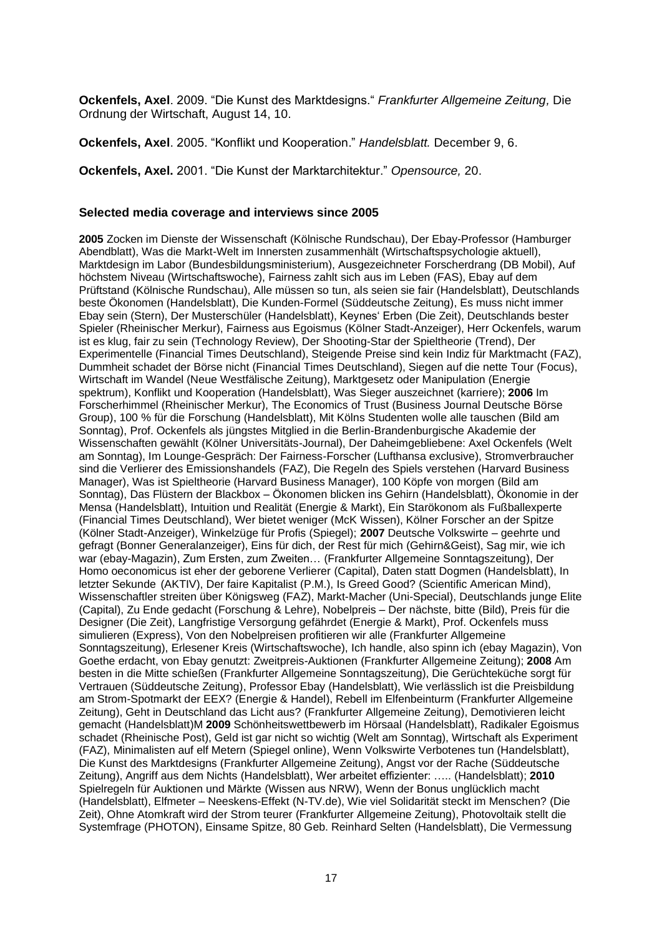**Ockenfels, Axel**. 2009. "Die Kunst des Marktdesigns." *Frankfurter Allgemeine Zeitung,* Die Ordnung der Wirtschaft, August 14, 10.

**Ockenfels, Axel**. 2005. "Konflikt und Kooperation." *Handelsblatt.* December 9, 6.

**Ockenfels, Axel.** 2001. "Die Kunst der Marktarchitektur." *Opensource,* 20.

#### **Selected media coverage and interviews since 2005**

**2005** Zocken im Dienste der Wissenschaft (Kölnische Rundschau), Der Ebay-Professor (Hamburger Abendblatt), Was die Markt-Welt im Innersten zusammenhält (Wirtschaftspsychologie aktuell), Marktdesign im Labor (Bundesbildungsministerium), Ausgezeichneter Forscherdrang (DB Mobil), Auf höchstem Niveau (Wirtschaftswoche), Fairness zahlt sich aus im Leben (FAS), Ebay auf dem Prüftstand (Kölnische Rundschau), Alle müssen so tun, als seien sie fair (Handelsblatt), Deutschlands beste Ökonomen (Handelsblatt), Die Kunden-Formel (Süddeutsche Zeitung), Es muss nicht immer Ebay sein (Stern), Der Musterschüler (Handelsblatt), Keynes' Erben (Die Zeit), Deutschlands bester Spieler (Rheinischer Merkur), Fairness aus Egoismus (Kölner Stadt-Anzeiger), Herr Ockenfels, warum ist es klug, fair zu sein (Technology Review), Der Shooting-Star der Spieltheorie (Trend), Der Experimentelle (Financial Times Deutschland), Steigende Preise sind kein Indiz für Marktmacht (FAZ), Dummheit schadet der Börse nicht (Financial Times Deutschland), Siegen auf die nette Tour (Focus), Wirtschaft im Wandel (Neue Westfälische Zeitung), Marktgesetz oder Manipulation (Energie spektrum), Konflikt und Kooperation (Handelsblatt), Was Sieger auszeichnet (karriere); **2006** Im Forscherhimmel (Rheinischer Merkur), The Economics of Trust (Business Journal Deutsche Börse Group), 100 % für die Forschung (Handelsblatt), Mit Kölns Studenten wolle alle tauschen (Bild am Sonntag), Prof. Ockenfels als jüngstes Mitglied in die Berlin-Brandenburgische Akademie der Wissenschaften gewählt (Kölner Universitäts-Journal), Der Daheimgebliebene: Axel Ockenfels (Welt am Sonntag), Im Lounge-Gespräch: Der Fairness-Forscher (Lufthansa exclusive), Stromverbraucher sind die Verlierer des Emissionshandels (FAZ), Die Regeln des Spiels verstehen (Harvard Business Manager), Was ist Spieltheorie (Harvard Business Manager), 100 Köpfe von morgen (Bild am Sonntag), Das Flüstern der Blackbox – Ökonomen blicken ins Gehirn (Handelsblatt), Ökonomie in der Mensa (Handelsblatt), Intuition und Realität (Energie & Markt), Ein Starökonom als Fußballexperte (Financial Times Deutschland), Wer bietet weniger (McK Wissen), Kölner Forscher an der Spitze (Kölner Stadt-Anzeiger), Winkelzüge für Profis (Spiegel); **2007** Deutsche Volkswirte – geehrte und gefragt (Bonner Generalanzeiger), Eins für dich, der Rest für mich (Gehirn&Geist), Sag mir, wie ich war (ebay-Magazin), Zum Ersten, zum Zweiten… (Frankfurter Allgemeine Sonntagszeitung), Der Homo oeconomicus ist eher der geborene Verlierer (Capital), Daten statt Dogmen (Handelsblatt), In letzter Sekunde (AKTIV), Der faire Kapitalist (P.M.), Is Greed Good? (Scientific American Mind), Wissenschaftler streiten über Königsweg (FAZ), Markt-Macher (Uni-Special), Deutschlands junge Elite (Capital), Zu Ende gedacht (Forschung & Lehre), Nobelpreis – Der nächste, bitte (Bild), Preis für die Designer (Die Zeit), Langfristige Versorgung gefährdet (Energie & Markt), Prof. Ockenfels muss simulieren (Express), Von den Nobelpreisen profitieren wir alle (Frankfurter Allgemeine Sonntagszeitung), Erlesener Kreis (Wirtschaftswoche), Ich handle, also spinn ich (ebay Magazin), Von Goethe erdacht, von Ebay genutzt: Zweitpreis-Auktionen (Frankfurter Allgemeine Zeitung); **2008** Am besten in die Mitte schießen (Frankfurter Allgemeine Sonntagszeitung), Die Gerüchteküche sorgt für Vertrauen (Süddeutsche Zeitung), Professor Ebay (Handelsblatt), Wie verlässlich ist die Preisbildung am Strom-Spotmarkt der EEX? (Energie & Handel), Rebell im Elfenbeinturm (Frankfurter Allgemeine Zeitung), Geht in Deutschland das Licht aus? (Frankfurter Allgemeine Zeitung), Demotivieren leicht gemacht (Handelsblatt)M **2009** Schönheitswettbewerb im Hörsaal (Handelsblatt), Radikaler Egoismus schadet (Rheinische Post), Geld ist gar nicht so wichtig (Welt am Sonntag), Wirtschaft als Experiment (FAZ), Minimalisten auf elf Metern (Spiegel online), Wenn Volkswirte Verbotenes tun (Handelsblatt), Die Kunst des Marktdesigns (Frankfurter Allgemeine Zeitung), Angst vor der Rache (Süddeutsche Zeitung), Angriff aus dem Nichts (Handelsblatt), Wer arbeitet effizienter: ….. (Handelsblatt); **2010** Spielregeln für Auktionen und Märkte (Wissen aus NRW), Wenn der Bonus unglücklich macht (Handelsblatt), Elfmeter – Neeskens-Effekt (N-TV.de), Wie viel Solidarität steckt im Menschen? (Die Zeit), Ohne Atomkraft wird der Strom teurer (Frankfurter Allgemeine Zeitung), Photovoltaik stellt die Systemfrage (PHOTON), Einsame Spitze, 80 Geb. Reinhard Selten (Handelsblatt), Die Vermessung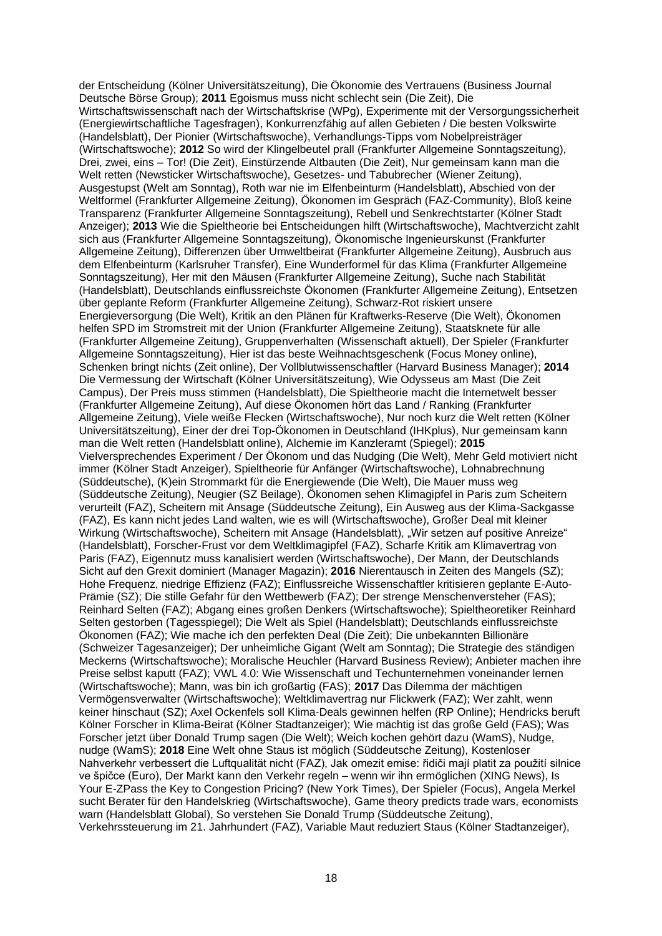der Entscheidung (Kölner Universitätszeitung), Die Ökonomie des Vertrauens (Business Journal Deutsche Börse Group); **2011** Egoismus muss nicht schlecht sein (Die Zeit), Die Wirtschaftswissenschaft nach der Wirtschaftskrise (WPg), Experimente mit der Versorgungssicherheit (Energiewirtschaftliche Tagesfragen), Konkurrenzfähig auf allen Gebieten / Die besten Volkswirte (Handelsblatt), Der Pionier (Wirtschaftswoche), Verhandlungs-Tipps vom Nobelpreisträger (Wirtschaftswoche); **2012** So wird der Klingelbeutel prall (Frankfurter Allgemeine Sonntagszeitung), Drei, zwei, eins – Tor! (Die Zeit), Einstürzende Altbauten (Die Zeit), Nur gemeinsam kann man die Welt retten (Newsticker Wirtschaftswoche), Gesetzes- und Tabubrecher (Wiener Zeitung), Ausgestupst (Welt am Sonntag), Roth war nie im Elfenbeinturm (Handelsblatt), Abschied von der Weltformel (Frankfurter Allgemeine Zeitung), Ökonomen im Gespräch (FAZ-Community), Bloß keine Transparenz (Frankfurter Allgemeine Sonntagszeitung), Rebell und Senkrechtstarter (Kölner Stadt Anzeiger); **2013** Wie die Spieltheorie bei Entscheidungen hilft (Wirtschaftswoche), Machtverzicht zahlt sich aus (Frankfurter Allgemeine Sonntagszeitung), Ökonomische Ingenieurskunst (Frankfurter Allgemeine Zeitung), Differenzen über Umweltbeirat (Frankfurter Allgemeine Zeitung), Ausbruch aus dem Elfenbeinturm (Karlsruher Transfer), Eine Wunderformel für das Klima (Frankfurter Allgemeine Sonntagszeitung), Her mit den Mäusen (Frankfurter Allgemeine Zeitung), Suche nach Stabilität (Handelsblatt), Deutschlands einflussreichste Ökonomen (Frankfurter Allgemeine Zeitung), Entsetzen über geplante Reform (Frankfurter Allgemeine Zeitung), Schwarz-Rot riskiert unsere Energieversorgung (Die Welt), Kritik an den Plänen für Kraftwerks-Reserve (Die Welt), Ökonomen helfen SPD im Stromstreit mit der Union (Frankfurter Allgemeine Zeitung), Staatsknete für alle (Frankfurter Allgemeine Zeitung), Gruppenverhalten (Wissenschaft aktuell), Der Spieler (Frankfurter Allgemeine Sonntagszeitung), Hier ist das beste Weihnachtsgeschenk (Focus Money online), Schenken bringt nichts (Zeit online), Der Vollblutwissenschaftler (Harvard Business Manager); **2014** Die Vermessung der Wirtschaft (Kölner Universitätszeitung), Wie Odysseus am Mast (Die Zeit Campus), Der Preis muss stimmen (Handelsblatt), Die Spieltheorie macht die Internetwelt besser (Frankfurter Allgemeine Zeitung), Auf diese Ökonomen hört das Land / Ranking (Frankfurter Allgemeine Zeitung), Viele weiße Flecken (Wirtschaftswoche), Nur noch kurz die Welt retten (Kölner Universitätszeitung), Einer der drei Top-Ökonomen in Deutschland (IHKplus), Nur gemeinsam kann man die Welt retten (Handelsblatt online), Alchemie im Kanzleramt (Spiegel); **2015** Vielversprechendes Experiment / Der Ökonom und das Nudging (Die Welt), Mehr Geld motiviert nicht immer (Kölner Stadt Anzeiger), Spieltheorie für Anfänger (Wirtschaftswoche), Lohnabrechnung (Süddeutsche), (K)ein Strommarkt für die Energiewende (Die Welt), Die Mauer muss weg (Süddeutsche Zeitung), Neugier (SZ Beilage), Ökonomen sehen Klimagipfel in Paris zum Scheitern verurteilt (FAZ), Scheitern mit Ansage (Süddeutsche Zeitung), Ein Ausweg aus der Klima-Sackgasse (FAZ), Es kann nicht jedes Land walten, wie es will (Wirtschaftswoche), Großer Deal mit kleiner Wirkung (Wirtschaftswoche), Scheitern mit Ansage (Handelsblatt), "Wir setzen auf positive Anreize" (Handelsblatt), Forscher-Frust vor dem Weltklimagipfel (FAZ), Scharfe Kritik am Klimavertrag von Paris (FAZ), Eigennutz muss kanalisiert werden (Wirtschaftswoche), Der Mann, der Deutschlands Sicht auf den Grexit dominiert (Manager Magazin); **2016** Nierentausch in Zeiten des Mangels (SZ); Hohe Frequenz, niedrige Effizienz (FAZ); Einflussreiche Wissenschaftler kritisieren geplante E-Auto-Prämie (SZ); Die stille Gefahr für den Wettbewerb (FAZ); Der strenge Menschenversteher (FAS); Reinhard Selten (FAZ); Abgang eines großen Denkers (Wirtschaftswoche); Spieltheoretiker Reinhard Selten gestorben (Tagesspiegel); Die Welt als Spiel (Handelsblatt); Deutschlands einflussreichste Ökonomen (FAZ); Wie mache ich den perfekten Deal (Die Zeit); Die unbekannten Billionäre (Schweizer Tagesanzeiger); Der unheimliche Gigant (Welt am Sonntag); Die Strategie des ständigen Meckerns (Wirtschaftswoche); Moralische Heuchler (Harvard Business Review); Anbieter machen ihre Preise selbst kaputt (FAZ); VWL 4.0: Wie Wissenschaft und Techunternehmen voneinander lernen (Wirtschaftswoche); Mann, was bin ich großartig (FAS); **2017** Das Dilemma der mächtigen Vermögensverwalter (Wirtschaftswoche); Weltklimavertrag nur Flickwerk (FAZ); Wer zahlt, wenn keiner hinschaut (SZ); Axel Ockenfels soll Klima-Deals gewinnen helfen (RP Online); Hendricks beruft Kölner Forscher in Klima-Beirat (Kölner Stadtanzeiger); Wie mächtig ist das große Geld (FAS); Was Forscher jetzt über Donald Trump sagen (Die Welt); Weich kochen gehört dazu (WamS), Nudge, nudge (WamS); **2018** Eine Welt ohne Staus ist möglich (Süddeutsche Zeitung), Kostenloser Nahverkehr verbessert die Luftqualität nicht (FAZ), Jak omezit emise: řidiči mají platit za použití silnice ve špičce (Euro), Der Markt kann den Verkehr regeln – wenn wir ihn ermöglichen (XING News), Is Your E-ZPass the Key to Congestion Pricing? (New York Times), Der Spieler (Focus), Angela Merkel sucht Berater für den Handelskrieg (Wirtschaftswoche), Game theory predicts trade wars, economists warn (Handelsblatt Global), So verstehen Sie Donald Trump (Süddeutsche Zeitung), Verkehrssteuerung im 21. Jahrhundert (FAZ), Variable Maut reduziert Staus (Kölner Stadtanzeiger),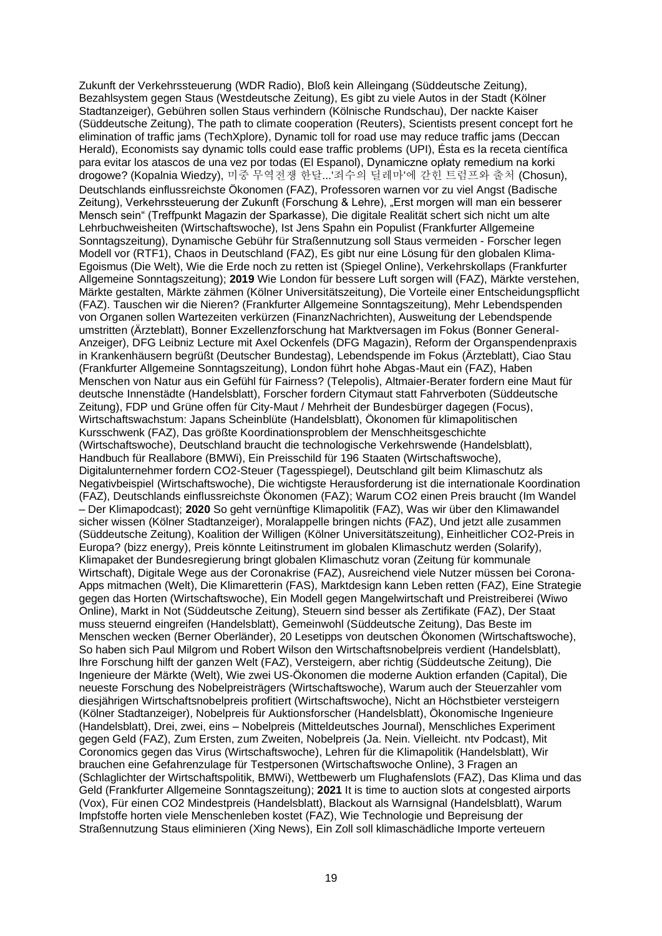Zukunft der Verkehrssteuerung (WDR Radio), Bloß kein Alleingang (Süddeutsche Zeitung), Bezahlsystem gegen Staus (Westdeutsche Zeitung), Es gibt zu viele Autos in der Stadt (Kölner Stadtanzeiger), Gebühren sollen Staus verhindern (Kölnische Rundschau), Der nackte Kaiser (Süddeutsche Zeitung), The path to climate cooperation (Reuters), Scientists present concept fort he elimination of traffic jams (TechXplore), Dynamic toll for road use may reduce traffic jams (Deccan Herald), Economists say dynamic tolls could ease traffic problems (UPI), Ésta es la receta científica para evitar los atascos de una vez por todas (El Espanol), Dynamiczne opłaty remedium na korki drogowe? (Kopalnia Wiedzy), 미중 무역전쟁 한달...'죄수의 딜레마'에 갇힌 트럼프와 출처 (Chosun), Deutschlands einflussreichste Ökonomen (FAZ), Professoren warnen vor zu viel Angst (Badische Zeitung), Verkehrssteuerung der Zukunft (Forschung & Lehre), "Erst morgen will man ein besserer Mensch sein" (Treffpunkt Magazin der Sparkasse), Die digitale Realität schert sich nicht um alte Lehrbuchweisheiten (Wirtschaftswoche), Ist Jens Spahn ein Populist (Frankfurter Allgemeine Sonntagszeitung), Dynamische Gebühr für Straßennutzung soll Staus vermeiden - Forscher legen Modell vor (RTF1), Chaos in Deutschland (FAZ), Es gibt nur eine Lösung für den globalen Klima-Egoismus (Die Welt), Wie die Erde noch zu retten ist (Spiegel Online), Verkehrskollaps (Frankfurter Allgemeine Sonntagszeitung); **2019** Wie London für bessere Luft sorgen will (FAZ), Märkte verstehen, Märkte gestalten, Märkte zähmen (Kölner Universitätszeitung), Die Vorteile einer Entscheidungspflicht (FAZ). Tauschen wir die Nieren? (Frankfurter Allgemeine Sonntagszeitung), Mehr Lebendspenden von Organen sollen Wartezeiten verkürzen (FinanzNachrichten), Ausweitung der Lebendspende umstritten (Ärzteblatt), Bonner Exzellenzforschung hat Marktversagen im Fokus (Bonner General-Anzeiger), DFG Leibniz Lecture mit Axel Ockenfels (DFG Magazin), Reform der Organspendenpraxis in Krankenhäusern begrüßt (Deutscher Bundestag), Lebendspende im Fokus (Ärzteblatt), Ciao Stau (Frankfurter Allgemeine Sonntagszeitung), London führt hohe Abgas-Maut ein (FAZ), Haben Menschen von Natur aus ein Gefühl für Fairness? (Telepolis), Altmaier-Berater fordern eine Maut für deutsche Innenstädte (Handelsblatt), Forscher fordern Citymaut statt Fahrverboten (Süddeutsche Zeitung), FDP und Grüne offen für City-Maut / Mehrheit der Bundesbürger dagegen (Focus), Wirtschaftswachstum: Japans Scheinblüte (Handelsblatt), Ökonomen für klimapolitischen Kursschwenk (FAZ), Das größte Koordinationsproblem der Menschheitsgeschichte (Wirtschaftswoche), Deutschland braucht die technologische Verkehrswende (Handelsblatt), Handbuch für Reallabore (BMWi), Ein Preisschild für 196 Staaten (Wirtschaftswoche), Digitalunternehmer fordern CO2-Steuer (Tagesspiegel), Deutschland gilt beim Klimaschutz als Negativbeispiel (Wirtschaftswoche), Die wichtigste Herausforderung ist die internationale Koordination (FAZ), Deutschlands einflussreichste Ökonomen (FAZ); Warum CO2 einen Preis braucht (Im Wandel – Der Klimapodcast); **2020** So geht vernünftige Klimapolitik (FAZ), Was wir über den Klimawandel sicher wissen (Kölner Stadtanzeiger), Moralappelle bringen nichts (FAZ), Und jetzt alle zusammen (Süddeutsche Zeitung), Koalition der Willigen (Kölner Universitätszeitung), Einheitlicher CO2-Preis in Europa? (bizz energy), Preis könnte Leitinstrument im globalen Klimaschutz werden (Solarify), Klimapaket der Bundesregierung bringt globalen Klimaschutz voran (Zeitung für kommunale Wirtschaft), Digitale Wege aus der Coronakrise (FAZ), Ausreichend viele Nutzer müssen bei Corona-Apps mitmachen (Welt), Die Klimaretterin (FAS), Marktdesign kann Leben retten (FAZ), Eine Strategie gegen das Horten (Wirtschaftswoche), Ein Modell gegen Mangelwirtschaft und Preistreiberei (Wiwo Online), Markt in Not (Süddeutsche Zeitung), Steuern sind besser als Zertifikate (FAZ), Der Staat muss steuernd eingreifen (Handelsblatt), Gemeinwohl (Süddeutsche Zeitung), Das Beste im Menschen wecken (Berner Oberländer), 20 Lesetipps von deutschen Ökonomen (Wirtschaftswoche), So haben sich Paul Milgrom und Robert Wilson den Wirtschaftsnobelpreis verdient (Handelsblatt), Ihre Forschung hilft der ganzen Welt (FAZ), Versteigern, aber richtig (Süddeutsche Zeitung), Die Ingenieure der Märkte (Welt), Wie zwei US-Ökonomen die moderne Auktion erfanden (Capital), Die neueste Forschung des Nobelpreisträgers (Wirtschaftswoche), Warum auch der Steuerzahler vom diesjährigen Wirtschaftsnobelpreis profitiert (Wirtschaftswoche), Nicht an Höchstbieter versteigern (Kölner Stadtanzeiger), Nobelpreis für Auktionsforscher (Handelsblatt), Ökonomische Ingenieure (Handelsblatt), Drei, zwei, eins – Nobelpreis (Mitteldeutsches Journal), Menschliches Experiment gegen Geld (FAZ), Zum Ersten, zum Zweiten, Nobelpreis (Ja. Nein. Vielleicht. ntv Podcast), Mit Coronomics gegen das Virus (Wirtschaftswoche), Lehren für die Klimapolitik (Handelsblatt), Wir brauchen eine Gefahrenzulage für Testpersonen (Wirtschaftswoche Online), 3 Fragen an (Schlaglichter der Wirtschaftspolitik, BMWi), Wettbewerb um Flughafenslots (FAZ), Das Klima und das Geld (Frankfurter Allgemeine Sonntagszeitung); **2021** It is time to auction slots at congested airports (Vox), Für einen CO2 Mindestpreis (Handelsblatt), Blackout als Warnsignal (Handelsblatt), Warum Impfstoffe horten viele Menschenleben kostet (FAZ), Wie Technologie und Bepreisung der Straßennutzung Staus eliminieren (Xing News), Ein Zoll soll klimaschädliche Importe verteuern